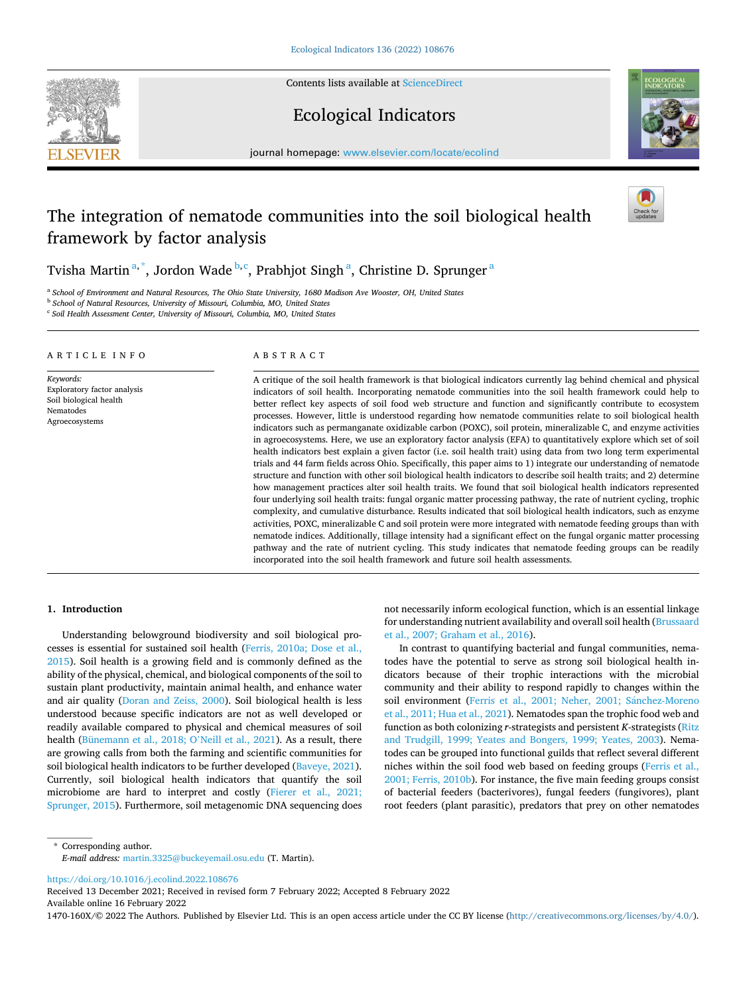Contents lists available at [ScienceDirect](www.sciencedirect.com/science/journal/1470160X)

# **SEVIER**



Ecological Indicators

journal homepage: [www.elsevier.com/locate/ecolind](https://www.elsevier.com/locate/ecolind)

# The integration of nematode communities into the soil biological health framework by factor analysis

Tvisha Martin $^{\mathrm{a},\mathrm{*}}$ , Jordon Wade $^{\mathrm{b},\mathrm{c}}$ , Prabhjot Singh $^{\mathrm{a}}$ , Christine D. Sprunger $^{\mathrm{a}}$ 

<sup>a</sup> *School of Environment and Natural Resources, The Ohio State University, 1680 Madison Ave Wooster, OH, United States* 

<sup>b</sup> *School of Natural Resources, University of Missouri, Columbia, MO, United States* <sup>c</sup> *Soil Health Assessment Center, University of Missouri, Columbia, MO, United States* 

ARTICLE INFO

*Keywords:*  Exploratory factor analysis Soil biological health Nematodes Agroecosystems

# ABSTRACT

A critique of the soil health framework is that biological indicators currently lag behind chemical and physical indicators of soil health. Incorporating nematode communities into the soil health framework could help to better reflect key aspects of soil food web structure and function and significantly contribute to ecosystem processes. However, little is understood regarding how nematode communities relate to soil biological health indicators such as permanganate oxidizable carbon (POXC), soil protein, mineralizable C, and enzyme activities in agroecosystems. Here, we use an exploratory factor analysis (EFA) to quantitatively explore which set of soil health indicators best explain a given factor (i.e. soil health trait) using data from two long term experimental trials and 44 farm fields across Ohio. Specifically, this paper aims to 1) integrate our understanding of nematode structure and function with other soil biological health indicators to describe soil health traits; and 2) determine how management practices alter soil health traits. We found that soil biological health indicators represented four underlying soil health traits: fungal organic matter processing pathway, the rate of nutrient cycling, trophic complexity, and cumulative disturbance. Results indicated that soil biological health indicators, such as enzyme activities, POXC, mineralizable C and soil protein were more integrated with nematode feeding groups than with nematode indices. Additionally, tillage intensity had a significant effect on the fungal organic matter processing pathway and the rate of nutrient cycling. This study indicates that nematode feeding groups can be readily incorporated into the soil health framework and future soil health assessments.

#### **1. Introduction**

Understanding belowground biodiversity and soil biological processes is essential for sustained soil health ([Ferris, 2010a; Dose et al.,](#page-8-0)  [2015\)](#page-8-0). Soil health is a growing field and is commonly defined as the ability of the physical, chemical, and biological components of the soil to sustain plant productivity, maintain animal health, and enhance water and air quality ([Doran and Zeiss, 2000](#page-8-0)). Soil biological health is less understood because specific indicators are not as well developed or readily available compared to physical and chemical measures of soil health [\(Bünemann et al., 2018; O](#page-8-0)'Neill et al., 2021). As a result, there are growing calls from both the farming and scientific communities for soil biological health indicators to be further developed [\(Baveye, 2021](#page-8-0)). Currently, soil biological health indicators that quantify the soil microbiome are hard to interpret and costly ([Fierer et al., 2021;](#page-8-0)  [Sprunger, 2015\)](#page-8-0). Furthermore, soil metagenomic DNA sequencing does

not necessarily inform ecological function, which is an essential linkage for understanding nutrient availability and overall soil health [\(Brussaard](#page-8-0)  [et al., 2007; Graham et al., 2016](#page-8-0)).

In contrast to quantifying bacterial and fungal communities, nematodes have the potential to serve as strong soil biological health indicators because of their trophic interactions with the microbial community and their ability to respond rapidly to changes within the soil environment ([Ferris et al., 2001; Neher, 2001; S](#page-8-0)ánchez-Moreno [et al., 2011; Hua et al., 2021\)](#page-8-0). Nematodes span the trophic food web and function as both colonizing *r*-strategists and persistent *K*-strategists ([Ritz](#page-9-0)  [and Trudgill, 1999; Yeates and Bongers, 1999; Yeates, 2003](#page-9-0)). Nematodes can be grouped into functional guilds that reflect several different niches within the soil food web based on feeding groups ([Ferris et al.,](#page-8-0)  [2001; Ferris, 2010b\)](#page-8-0). For instance, the five main feeding groups consist of bacterial feeders (bacterivores), fungal feeders (fungivores), plant root feeders (plant parasitic), predators that prey on other nematodes

\* Corresponding author. *E-mail address:* [martin.3325@buckeyemail.osu.edu](mailto:martin.3325@buckeyemail.osu.edu) (T. Martin).

<https://doi.org/10.1016/j.ecolind.2022.108676>

Available online 16 February 2022 Received 13 December 2021; Received in revised form 7 February 2022; Accepted 8 February 2022

1470-160X/© 2022 The Authors. Published by Elsevier Ltd. This is an open access article under the CC BY license [\(http://creativecommons.org/licenses/by/4.0/\)](http://creativecommons.org/licenses/by/4.0/).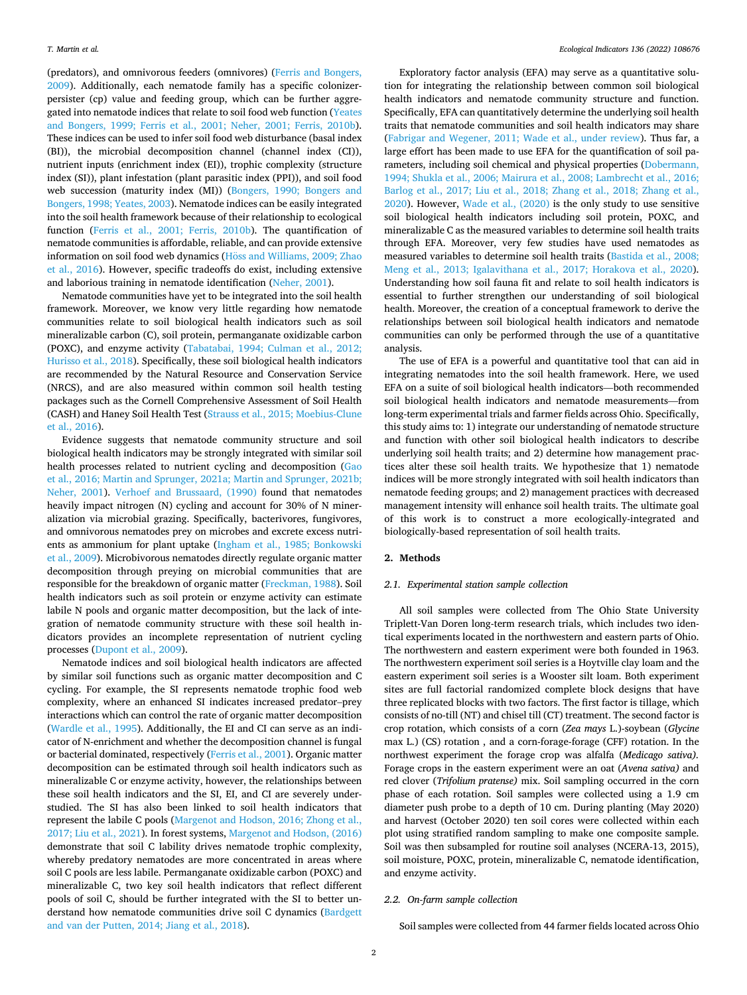(predators), and omnivorous feeders (omnivores) [\(Ferris and Bongers,](#page-8-0)  [2009\)](#page-8-0). Additionally, each nematode family has a specific colonizerpersister (cp) value and feeding group, which can be further aggregated into nematode indices that relate to soil food web function ([Yeates](#page-10-0)  [and Bongers, 1999; Ferris et al., 2001; Neher, 2001; Ferris, 2010b](#page-10-0)). These indices can be used to infer soil food web disturbance (basal index (BI)), the microbial decomposition channel (channel index (CI)), nutrient inputs (enrichment index (EI)), trophic complexity (structure index (SI)), plant infestation (plant parasitic index (PPI)), and soil food web succession (maturity index (MI)) [\(Bongers, 1990; Bongers and](#page-8-0)  [Bongers, 1998; Yeates, 2003](#page-8-0)). Nematode indices can be easily integrated into the soil health framework because of their relationship to ecological function ([Ferris et al., 2001; Ferris, 2010b](#page-8-0)). The quantification of nematode communities is affordable, reliable, and can provide extensive information on soil food web dynamics (Hoss and Williams, 2009; Zhao [et al., 2016\)](#page-9-0). However, specific tradeoffs do exist, including extensive and laborious training in nematode identification ([Neher, 2001](#page-9-0)).

Nematode communities have yet to be integrated into the soil health framework. Moreover, we know very little regarding how nematode communities relate to soil biological health indicators such as soil mineralizable carbon (C), soil protein, permanganate oxidizable carbon (POXC), and enzyme activity [\(Tabatabai, 1994; Culman et al., 2012;](#page-10-0)  [Hurisso et al., 2018\)](#page-10-0). Specifically, these soil biological health indicators are recommended by the Natural Resource and Conservation Service (NRCS), and are also measured within common soil health testing packages such as the Cornell Comprehensive Assessment of Soil Health (CASH) and Haney Soil Health Test ([Strauss et al., 2015; Moebius-Clune](#page-10-0)  [et al., 2016\)](#page-10-0).

Evidence suggests that nematode community structure and soil biological health indicators may be strongly integrated with similar soil health processes related to nutrient cycling and decomposition ([Gao](#page-8-0)  [et al., 2016; Martin and Sprunger, 2021a; Martin and Sprunger, 2021b;](#page-8-0)  [Neher, 2001\)](#page-8-0). [Verhoef and Brussaard, \(1990\)](#page-10-0) found that nematodes heavily impact nitrogen (N) cycling and account for 30% of N mineralization via microbial grazing. Specifically, bacterivores, fungivores, and omnivorous nematodes prey on microbes and excrete excess nutrients as ammonium for plant uptake [\(Ingham et al., 1985; Bonkowski](#page-9-0)  [et al., 2009](#page-9-0)). Microbivorous nematodes directly regulate organic matter decomposition through preying on microbial communities that are responsible for the breakdown of organic matter [\(Freckman, 1988](#page-8-0)). Soil health indicators such as soil protein or enzyme activity can estimate labile N pools and organic matter decomposition, but the lack of integration of nematode community structure with these soil health indicators provides an incomplete representation of nutrient cycling processes ([Dupont et al., 2009\)](#page-8-0).

Nematode indices and soil biological health indicators are affected by similar soil functions such as organic matter decomposition and C cycling. For example, the SI represents nematode trophic food web complexity, where an enhanced SI indicates increased predator–prey interactions which can control the rate of organic matter decomposition ([Wardle et al., 1995](#page-10-0)). Additionally, the EI and CI can serve as an indicator of N-enrichment and whether the decomposition channel is fungal or bacterial dominated, respectively ([Ferris et al., 2001\)](#page-8-0). Organic matter decomposition can be estimated through soil health indicators such as mineralizable C or enzyme activity, however, the relationships between these soil health indicators and the SI, EI, and CI are severely understudied. The SI has also been linked to soil health indicators that represent the labile C pools [\(Margenot and Hodson, 2016; Zhong et al.,](#page-9-0)  [2017; Liu et al., 2021\)](#page-9-0). In forest systems, [Margenot and Hodson, \(2016\)](#page-9-0)  demonstrate that soil C lability drives nematode trophic complexity, whereby predatory nematodes are more concentrated in areas where soil C pools are less labile. Permanganate oxidizable carbon (POXC) and mineralizable C, two key soil health indicators that reflect different pools of soil C, should be further integrated with the SI to better understand how nematode communities drive soil C dynamics ([Bardgett](#page-8-0)  [and van der Putten, 2014; Jiang et al., 2018\)](#page-8-0).

Exploratory factor analysis (EFA) may serve as a quantitative solution for integrating the relationship between common soil biological health indicators and nematode community structure and function. Specifically, EFA can quantitatively determine the underlying soil health traits that nematode communities and soil health indicators may share ([Fabrigar and Wegener, 2011; Wade et al., under review\)](#page-8-0). Thus far, a large effort has been made to use EFA for the quantification of soil parameters, including soil chemical and physical properties [\(Dobermann,](#page-8-0)  [1994; Shukla et al., 2006; Mairura et al., 2008; Lambrecht et al., 2016;](#page-8-0)  [Barlog et al., 2017; Liu et al., 2018; Zhang et al., 2018; Zhang et al.,](#page-8-0)  [2020\)](#page-8-0). However, [Wade et al., \(2020\)](#page-10-0) is the only study to use sensitive soil biological health indicators including soil protein, POXC, and mineralizable C as the measured variables to determine soil health traits through EFA. Moreover, very few studies have used nematodes as measured variables to determine soil health traits [\(Bastida et al., 2008;](#page-8-0)  [Meng et al., 2013; Igalavithana et al., 2017; Horakova et al., 2020](#page-8-0)). Understanding how soil fauna fit and relate to soil health indicators is essential to further strengthen our understanding of soil biological health. Moreover, the creation of a conceptual framework to derive the relationships between soil biological health indicators and nematode communities can only be performed through the use of a quantitative analysis.

The use of EFA is a powerful and quantitative tool that can aid in integrating nematodes into the soil health framework. Here, we used EFA on a suite of soil biological health indicators—both recommended soil biological health indicators and nematode measurements—from long-term experimental trials and farmer fields across Ohio. Specifically, this study aims to: 1) integrate our understanding of nematode structure and function with other soil biological health indicators to describe underlying soil health traits; and 2) determine how management practices alter these soil health traits. We hypothesize that 1) nematode indices will be more strongly integrated with soil health indicators than nematode feeding groups; and 2) management practices with decreased management intensity will enhance soil health traits. The ultimate goal of this work is to construct a more ecologically-integrated and biologically-based representation of soil health traits.

#### **2. Methods**

#### *2.1. Experimental station sample collection*

All soil samples were collected from The Ohio State University Triplett-Van Doren long-term research trials, which includes two identical experiments located in the northwestern and eastern parts of Ohio. The northwestern and eastern experiment were both founded in 1963. The northwestern experiment soil series is a Hoytville clay loam and the eastern experiment soil series is a Wooster silt loam. Both experiment sites are full factorial randomized complete block designs that have three replicated blocks with two factors. The first factor is tillage, which consists of no-till (NT) and chisel till (CT) treatment. The second factor is crop rotation, which consists of a corn (*Zea mays* L.)-soybean (*Glycine*  max L.) (CS) rotation , and a corn-forage-forage (CFF) rotation. In the northwest experiment the forage crop was alfalfa (*Medicago sativa).*  Forage crops in the eastern experiment were an oat (*Avena sativa)* and red clover (*Trifolium pratense)* mix. Soil sampling occurred in the corn phase of each rotation. Soil samples were collected using a 1.9 cm diameter push probe to a depth of 10 cm. During planting (May 2020) and harvest (October 2020) ten soil cores were collected within each plot using stratified random sampling to make one composite sample. Soil was then subsampled for routine soil analyses (NCERA-13, 2015), soil moisture, POXC, protein, mineralizable C, nematode identification, and enzyme activity.

#### *2.2. On-farm sample collection*

Soil samples were collected from 44 farmer fields located across Ohio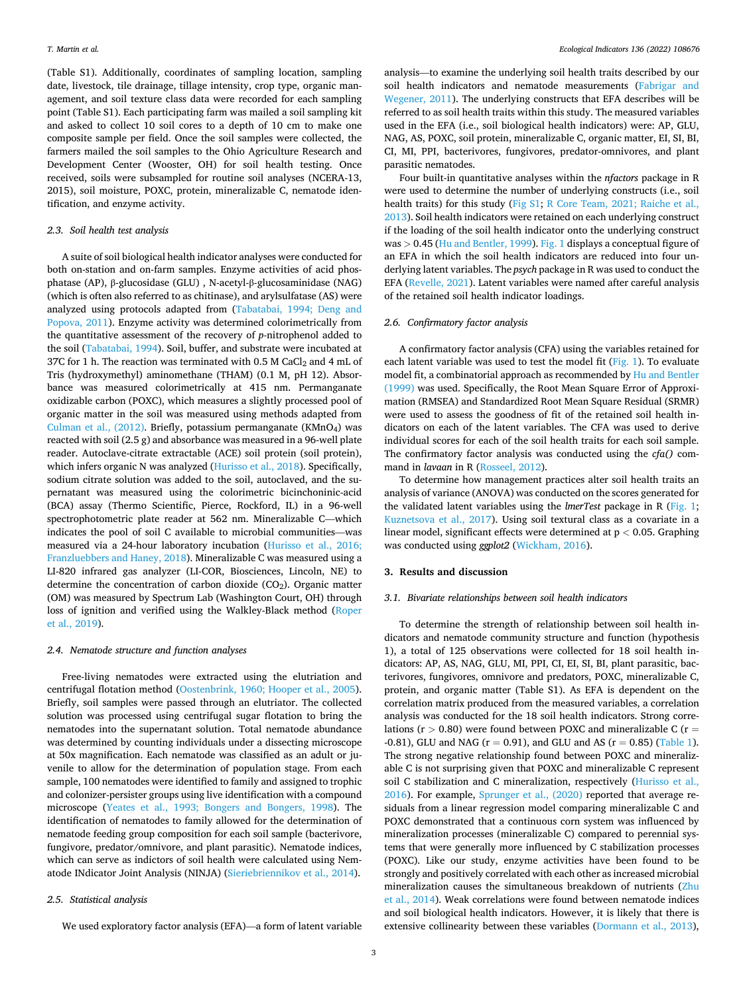(Table S1). Additionally, coordinates of sampling location, sampling date, livestock, tile drainage, tillage intensity, crop type, organic management, and soil texture class data were recorded for each sampling point (Table S1). Each participating farm was mailed a soil sampling kit and asked to collect 10 soil cores to a depth of 10 cm to make one composite sample per field. Once the soil samples were collected, the farmers mailed the soil samples to the Ohio Agriculture Research and Development Center (Wooster, OH) for soil health testing. Once received, soils were subsampled for routine soil analyses (NCERA-13, 2015), soil moisture, POXC, protein, mineralizable C, nematode identification, and enzyme activity.

# *2.3. Soil health test analysis*

A suite of soil biological health indicator analyses were conducted for both on-station and on-farm samples. Enzyme activities of acid phosphatase (AP), β-glucosidase (GLU) , N-acetyl-β-glucosaminidase (NAG) (which is often also referred to as chitinase), and arylsulfatase (AS) were analyzed using protocols adapted from [\(Tabatabai, 1994; Deng and](#page-10-0)  [Popova, 2011\)](#page-10-0). Enzyme activity was determined colorimetrically from the quantitative assessment of the recovery of *p-*nitrophenol added to the soil [\(Tabatabai, 1994\)](#page-10-0). Soil, buffer, and substrate were incubated at 37C for 1 h. The reaction was terminated with 0.5 M  $CaCl<sub>2</sub>$  and 4 mL of Tris (hydroxymethyl) aminomethane (THAM) (0.1 M, pH 12). Absorbance was measured colorimetrically at 415 nm. Permanganate oxidizable carbon (POXC), which measures a slightly processed pool of organic matter in the soil was measured using methods adapted from Culman et al.,  $(2012)$ . Briefly, potassium permanganate (KMnO<sub>4</sub>) was reacted with soil (2.5 g) and absorbance was measured in a 96-well plate reader. Autoclave-citrate extractable (ACE) soil protein (soil protein), which infers organic N was analyzed ([Hurisso et al., 2018\)](#page-9-0). Specifically, sodium citrate solution was added to the soil, autoclaved, and the supernatant was measured using the colorimetric bicinchoninic-acid (BCA) assay (Thermo Scientific, Pierce, Rockford, IL) in a 96-well spectrophotometric plate reader at 562 nm. Mineralizable C—which indicates the pool of soil C available to microbial communities—was measured via a 24-hour laboratory incubation [\(Hurisso et al., 2016;](#page-9-0)  [Franzluebbers and Haney, 2018\)](#page-9-0). Mineralizable C was measured using a LI-820 infrared gas analyzer (LI-COR, Biosciences, Lincoln, NE) to determine the concentration of carbon dioxide (CO<sub>2</sub>). Organic matter (OM) was measured by Spectrum Lab (Washington Court, OH) through loss of ignition and verified using the Walkley-Black method ([Roper](#page-9-0)  [et al., 2019\)](#page-9-0).

#### *2.4. Nematode structure and function analyses*

Free-living nematodes were extracted using the elutriation and centrifugal flotation method [\(Oostenbrink, 1960; Hooper et al., 2005](#page-9-0)). Briefly, soil samples were passed through an elutriator. The collected solution was processed using centrifugal sugar flotation to bring the nematodes into the supernatant solution. Total nematode abundance was determined by counting individuals under a dissecting microscope at 50x magnification. Each nematode was classified as an adult or juvenile to allow for the determination of population stage. From each sample, 100 nematodes were identified to family and assigned to trophic and colonizer-persister groups using live identification with a compound microscope ([Yeates et al., 1993; Bongers and Bongers, 1998\)](#page-10-0). The identification of nematodes to family allowed for the determination of nematode feeding group composition for each soil sample (bacterivore, fungivore, predator/omnivore, and plant parasitic). Nematode indices, which can serve as indictors of soil health were calculated using Nematode INdicator Joint Analysis (NINJA) ([Sieriebriennikov et al., 2014](#page-10-0)).

#### *2.5. Statistical analysis*

We used exploratory factor analysis (EFA)—a form of latent variable

analysis—to examine the underlying soil health traits described by our soil health indicators and nematode measurements ([Fabrigar and](#page-8-0)  [Wegener, 2011\)](#page-8-0). The underlying constructs that EFA describes will be referred to as soil health traits within this study. The measured variables used in the EFA (i.e., soil biological health indicators) were: AP, GLU, NAG, AS, POXC, soil protein, mineralizable C, organic matter, EI, SI, BI, CI, MI, PPI, bacterivores, fungivores, predator-omnivores, and plant parasitic nematodes.

Four built-in quantitative analyses within the *nfactors* package in R were used to determine the number of underlying constructs (i.e., soil health traits) for this study (Fig S1; [R Core Team, 2021; Raiche et al.,](#page-9-0)  [2013\)](#page-9-0). Soil health indicators were retained on each underlying construct if the loading of the soil health indicator onto the underlying construct was *>* 0.45 [\(Hu and Bentler, 1999](#page-9-0)). [Fig. 1](#page-3-0) displays a conceptual figure of an EFA in which the soil health indicators are reduced into four underlying latent variables. The *psych* package in R was used to conduct the EFA [\(Revelle, 2021](#page-9-0)). Latent variables were named after careful analysis of the retained soil health indicator loadings.

#### *2.6. Confirmatory factor analysis*

A confirmatory factor analysis (CFA) using the variables retained for each latent variable was used to test the model fit ([Fig. 1\)](#page-3-0). To evaluate model fit, a combinatorial approach as recommended by [Hu and Bentler](#page-9-0)  [\(1999\)](#page-9-0) was used. Specifically, the Root Mean Square Error of Approximation (RMSEA) and Standardized Root Mean Square Residual (SRMR) were used to assess the goodness of fit of the retained soil health indicators on each of the latent variables. The CFA was used to derive individual scores for each of the soil health traits for each soil sample. The confirmatory factor analysis was conducted using the *cfa()* command in *lavaan* in R ([Rosseel, 2012](#page-9-0)).

To determine how management practices alter soil health traits an analysis of variance (ANOVA) was conducted on the scores generated for the validated latent variables using the *lmerTest* package in R ([Fig. 1](#page-3-0); [Kuznetsova et al., 2017](#page-9-0)). Using soil textural class as a covariate in a linear model, significant effects were determined at p *<* 0.05. Graphing was conducted using *ggplot2* ([Wickham, 2016\)](#page-10-0).

#### **3. Results and discussion**

#### *3.1. Bivariate relationships between soil health indicators*

To determine the strength of relationship between soil health indicators and nematode community structure and function (hypothesis 1), a total of 125 observations were collected for 18 soil health indicators: AP, AS, NAG, GLU, MI, PPI, CI, EI, SI, BI, plant parasitic, bacterivores, fungivores, omnivore and predators, POXC, mineralizable C, protein, and organic matter (Table S1). As EFA is dependent on the correlation matrix produced from the measured variables, a correlation analysis was conducted for the 18 soil health indicators. Strong correlations ( $r > 0.80$ ) were found between POXC and mineralizable C ( $r =$ -0.81), GLU and NAG ( $r = 0.91$ ), and GLU and AS ( $r = 0.85$ ) [\(Table 1](#page-4-0)). The strong negative relationship found between POXC and mineralizable C is not surprising given that POXC and mineralizable C represent soil C stabilization and C mineralization, respectively ([Hurisso et al.,](#page-9-0)  [2016\)](#page-9-0). For example, [Sprunger et al., \(2020\)](#page-10-0) reported that average residuals from a linear regression model comparing mineralizable C and POXC demonstrated that a continuous corn system was influenced by mineralization processes (mineralizable C) compared to perennial systems that were generally more influenced by C stabilization processes (POXC). Like our study, enzyme activities have been found to be strongly and positively correlated with each other as increased microbial mineralization causes the simultaneous breakdown of nutrients ([Zhu](#page-10-0)  [et al., 2014\)](#page-10-0). Weak correlations were found between nematode indices and soil biological health indicators. However, it is likely that there is extensive collinearity between these variables ([Dormann et al., 2013](#page-8-0)),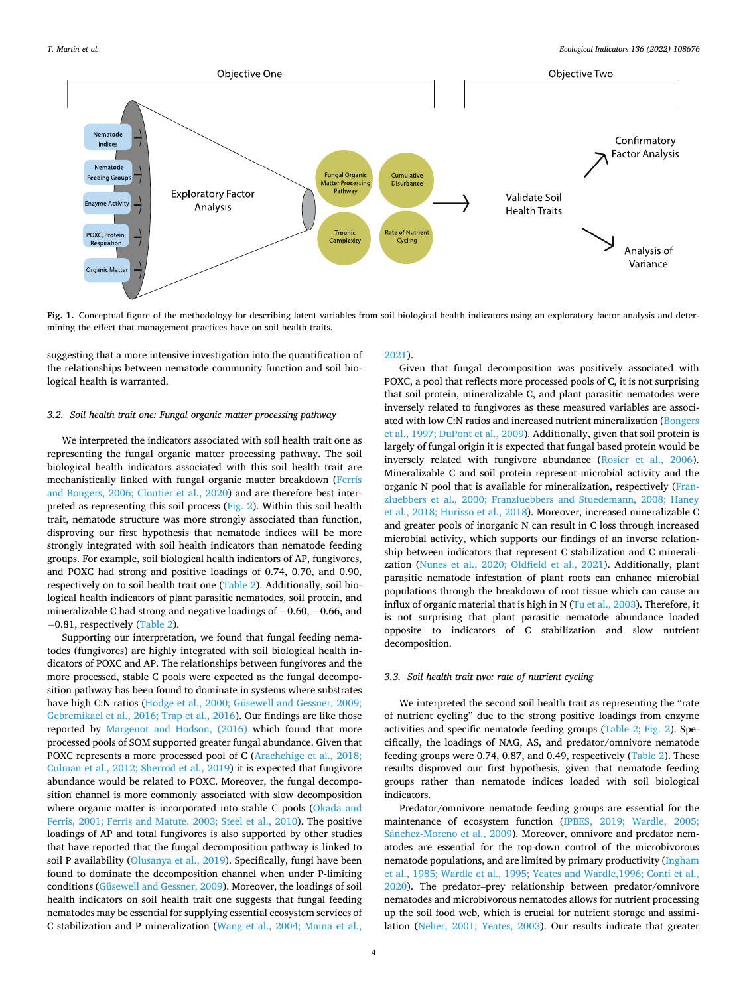<span id="page-3-0"></span>

Fig. 1. Conceptual figure of the methodology for describing latent variables from soil biological health indicators using an exploratory factor analysis and determining the effect that management practices have on soil health traits.

suggesting that a more intensive investigation into the quantification of the relationships between nematode community function and soil biological health is warranted.

# *3.2. Soil health trait one: Fungal organic matter processing pathway*

We interpreted the indicators associated with soil health trait one as representing the fungal organic matter processing pathway. The soil biological health indicators associated with this soil health trait are mechanistically linked with fungal organic matter breakdown ([Ferris](#page-8-0)  [and Bongers, 2006; Cloutier et al., 2020\)](#page-8-0) and are therefore best interpreted as representing this soil process [\(Fig. 2](#page-5-0)). Within this soil health trait, nematode structure was more strongly associated than function, disproving our first hypothesis that nematode indices will be more strongly integrated with soil health indicators than nematode feeding groups. For example, soil biological health indicators of AP, fungivores, and POXC had strong and positive loadings of 0.74, 0.70, and 0.90, respectively on to soil health trait one ([Table 2](#page-5-0)). Additionally, soil biological health indicators of plant parasitic nematodes, soil protein, and mineralizable C had strong and negative loadings of − 0.60, − 0.66, and − 0.81, respectively ([Table 2\)](#page-5-0).

Supporting our interpretation, we found that fungal feeding nematodes (fungivores) are highly integrated with soil biological health indicators of POXC and AP. The relationships between fungivores and the more processed, stable C pools were expected as the fungal decomposition pathway has been found to dominate in systems where substrates have high C:N ratios ([Hodge et al., 2000; Güsewell and Gessner, 2009;](#page-9-0)  [Gebremikael et al., 2016; Trap et al., 2016\)](#page-9-0). Our findings are like those reported by [Margenot and Hodson, \(2016\)](#page-9-0) which found that more processed pools of SOM supported greater fungal abundance. Given that POXC represents a more processed pool of C [\(Arachchige et al., 2018;](#page-8-0)  [Culman et al., 2012; Sherrod et al., 2019](#page-8-0)) it is expected that fungivore abundance would be related to POXC. Moreover, the fungal decomposition channel is more commonly associated with slow decomposition where organic matter is incorporated into stable C pools ([Okada and](#page-9-0)  [Ferris, 2001; Ferris and Matute, 2003; Steel et al., 2010](#page-9-0)). The positive loadings of AP and total fungivores is also supported by other studies that have reported that the fungal decomposition pathway is linked to soil P availability [\(Olusanya et al., 2019\)](#page-9-0). Specifically, fungi have been found to dominate the decomposition channel when under P-limiting conditions [\(Güsewell and Gessner, 2009\)](#page-9-0). Moreover, the loadings of soil health indicators on soil health trait one suggests that fungal feeding nematodes may be essential for supplying essential ecosystem services of C stabilization and P mineralization [\(Wang et al., 2004; Maina et al.,](#page-10-0) 

#### [2021\)](#page-10-0).

Given that fungal decomposition was positively associated with POXC, a pool that reflects more processed pools of C, it is not surprising that soil protein, mineralizable C, and plant parasitic nematodes were inversely related to fungivores as these measured variables are associated with low C:N ratios and increased nutrient mineralization ([Bongers](#page-8-0)  [et al., 1997; DuPont et al., 2009\)](#page-8-0). Additionally, given that soil protein is largely of fungal origin it is expected that fungal based protein would be inversely related with fungivore abundance ([Rosier et al., 2006](#page-9-0)). Mineralizable C and soil protein represent microbial activity and the organic N pool that is available for mineralization, respectively [\(Fran](#page-8-0)[zluebbers et al., 2000; Franzluebbers and Stuedemann, 2008; Haney](#page-8-0)  [et al., 2018; Hurisso et al., 2018\)](#page-8-0). Moreover, increased mineralizable C and greater pools of inorganic N can result in C loss through increased microbial activity, which supports our findings of an inverse relationship between indicators that represent C stabilization and C mineralization ([Nunes et al., 2020; Oldfield et al., 2021\)](#page-9-0). Additionally, plant parasitic nematode infestation of plant roots can enhance microbial populations through the breakdown of root tissue which can cause an influx of organic material that is high in N [\(Tu et al., 2003](#page-10-0)). Therefore, it is not surprising that plant parasitic nematode abundance loaded opposite to indicators of C stabilization and slow nutrient decomposition.

#### *3.3. Soil health trait two: rate of nutrient cycling*

We interpreted the second soil health trait as representing the "rate of nutrient cycling" due to the strong positive loadings from enzyme activities and specific nematode feeding groups [\(Table 2](#page-5-0); [Fig. 2\)](#page-5-0). Specifically, the loadings of NAG, AS, and predator/omnivore nematode feeding groups were 0.74, 0.87, and 0.49, respectively ([Table 2\)](#page-5-0). These results disproved our first hypothesis, given that nematode feeding groups rather than nematode indices loaded with soil biological indicators.

Predator/omnivore nematode feeding groups are essential for the maintenance of ecosystem function ([IPBES, 2019; Wardle, 2005;](#page-9-0)  Sánchez-Moreno et al., 2009). Moreover, omnivore and predator nematodes are essential for the top-down control of the microbivorous nematode populations, and are limited by primary productivity ([Ingham](#page-9-0)  [et al., 1985; Wardle et al., 1995; Yeates and Wardle,1996; Conti et al.,](#page-9-0)  [2020\)](#page-9-0). The predator–prey relationship between predator/omnivore nematodes and microbivorous nematodes allows for nutrient processing up the soil food web, which is crucial for nutrient storage and assimilation ([Neher, 2001; Yeates, 2003\)](#page-9-0). Our results indicate that greater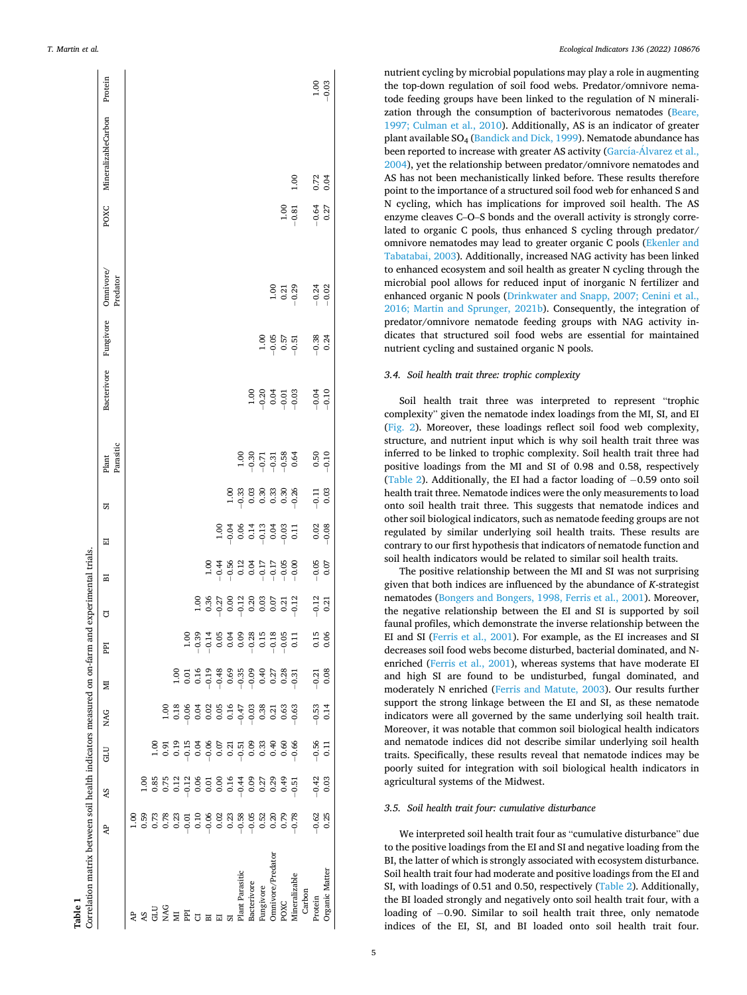<span id="page-4-0"></span>

|                                                                          | Protein               |      |      |                   |     |   |                                                                                                                                                                                                                                                                                                                                                 |    |                                                                               |                                                    |                             |                              |                        |                                                                                                                                                                                                                                                                                                     | $1.00$             | $-0.03$        |
|--------------------------------------------------------------------------|-----------------------|------|------|-------------------|-----|---|-------------------------------------------------------------------------------------------------------------------------------------------------------------------------------------------------------------------------------------------------------------------------------------------------------------------------------------------------|----|-------------------------------------------------------------------------------|----------------------------------------------------|-----------------------------|------------------------------|------------------------|-----------------------------------------------------------------------------------------------------------------------------------------------------------------------------------------------------------------------------------------------------------------------------------------------------|--------------------|----------------|
|                                                                          | MineralizableCarbon   |      |      |                   |     |   |                                                                                                                                                                                                                                                                                                                                                 |    |                                                                               |                                                    |                             |                              |                        | 1.00                                                                                                                                                                                                                                                                                                | 0.72               | 0.04           |
|                                                                          | POXC                  |      |      |                   |     |   |                                                                                                                                                                                                                                                                                                                                                 |    |                                                                               |                                                    |                             |                              | 1.00                   | $-0.81$                                                                                                                                                                                                                                                                                             | $-0.64$<br>0.27    |                |
| d experimental trials.                                                   | Omnivore,<br>Predator |      |      |                   |     |   |                                                                                                                                                                                                                                                                                                                                                 |    |                                                                               |                                                    |                             |                              | $1.00$<br>0.21<br>0.29 |                                                                                                                                                                                                                                                                                                     | $-0.24$<br>$-0.02$ |                |
|                                                                          | Fungivore             |      |      |                   |     |   |                                                                                                                                                                                                                                                                                                                                                 |    |                                                                               |                                                    |                             | $1.06$<br>$-0.57$<br>$-0.51$ |                        |                                                                                                                                                                                                                                                                                                     | $-0.38$            | 0.24           |
|                                                                          | Bacterivore           |      |      |                   |     |   |                                                                                                                                                                                                                                                                                                                                                 |    |                                                                               |                                                    | $38350$<br>$-900$<br>$-900$ |                              |                        |                                                                                                                                                                                                                                                                                                     | $-0.04$<br>$-0.10$ |                |
|                                                                          | Parasitic<br>Plant    |      |      |                   |     |   |                                                                                                                                                                                                                                                                                                                                                 |    |                                                                               | $1.00$<br>$-0.37$<br>$-0.31$<br>$-0.38$<br>$-0.64$ |                             |                              |                        |                                                                                                                                                                                                                                                                                                     | $-0.50$            |                |
|                                                                          | ದ                     |      |      |                   |     |   |                                                                                                                                                                                                                                                                                                                                                 |    |                                                                               |                                                    |                             |                              |                        |                                                                                                                                                                                                                                                                                                     | $-0.11$            | 0.03           |
|                                                                          | 囩                     |      |      |                   |     |   |                                                                                                                                                                                                                                                                                                                                                 |    | $-0.058$<br>$-0.054$<br>$-0.053$<br>$-0.053$<br>$-0.05$<br>$-0.05$<br>$-0.05$ |                                                    |                             |                              |                        |                                                                                                                                                                                                                                                                                                     | 0.02               | $-0.08$        |
|                                                                          | 囩                     |      |      |                   |     |   | $\begin{array}{c}\n 1.00 \\ -0.44 \\ -0.56 \\ 0.12 \\ 0.03 \\ -0.17 \\ -0.05 \\ -0.09 \\ -0.09 \\ -0.00 \\ -0.00 \\ -0.00 \\ -0.00 \\ -0.00 \\ -0.00 \\ -0.00 \\ -0.00 \\ -0.00 \\ -0.00 \\ -0.00 \\ -0.00 \\ -0.00 \\ -0.00 \\ -0.00 \\ -0.00 \\ -0.00 \\ -0.00 \\ -0.00 \\ -0.00 \\ -0.00 \\ -0.00 \\ -0.00 \\ -0.00 \\ -0.00 \\ -0.00 \\ -0$ |    |                                                                               |                                                    |                             |                              |                        |                                                                                                                                                                                                                                                                                                     | $-0.05$            | 0.07           |
|                                                                          | ፣                     |      |      |                   |     |   | $3.887838573$<br>$-0.53838573$<br>$-0.5383573$                                                                                                                                                                                                                                                                                                  |    |                                                                               |                                                    |                             |                              |                        |                                                                                                                                                                                                                                                                                                     | $-0.12$<br>0.21    |                |
|                                                                          | Edd                   |      |      |                   |     |   |                                                                                                                                                                                                                                                                                                                                                 |    |                                                                               |                                                    |                             |                              |                        |                                                                                                                                                                                                                                                                                                     | 0.15               | 0.06           |
| Correlation matrix between soil health indicators measured on on-farm an | Σ                     |      |      |                   |     |   |                                                                                                                                                                                                                                                                                                                                                 |    |                                                                               |                                                    |                             |                              |                        |                                                                                                                                                                                                                                                                                                     | $-0.21$<br>0.08    |                |
|                                                                          | <b>NAG</b>            |      |      |                   |     |   |                                                                                                                                                                                                                                                                                                                                                 |    |                                                                               |                                                    |                             |                              |                        |                                                                                                                                                                                                                                                                                                     | $-0.53$            | 0.14           |
|                                                                          |                       |      |      |                   |     |   |                                                                                                                                                                                                                                                                                                                                                 |    |                                                                               |                                                    |                             |                              |                        | $\begin{array}{c} 0.916 \\ 0.916 \\ 0.917 \\ 0.919 \\ 0.919 \\ 0.919 \\ 0.919 \\ 0.919 \\ 0.919 \\ 0.919 \\ 0.919 \\ 0.919 \\ 0.919 \\ 0.919 \\ 0.919 \\ 0.919 \\ 0.919 \\ 0.919 \\ 0.919 \\ 0.919 \\ 0.919 \\ 0.919 \\ 0.919 \\ 0.919 \\ 0.919 \\ 0.919 \\ 0.919 \\ 0.919 \\ 0.919 \\ 0.919 \\ 0.$ | $-0.56$<br>0.11    |                |
|                                                                          | <b>GLU</b>            |      |      |                   |     |   |                                                                                                                                                                                                                                                                                                                                                 |    |                                                                               |                                                    |                             |                              |                        |                                                                                                                                                                                                                                                                                                     | $-0.42$<br>0.03    |                |
|                                                                          | SV                    |      |      |                   |     |   |                                                                                                                                                                                                                                                                                                                                                 |    |                                                                               |                                                    |                             |                              |                        |                                                                                                                                                                                                                                                                                                     |                    |                |
|                                                                          | ਟਿ                    | 00,1 | 0.59 |                   |     |   |                                                                                                                                                                                                                                                                                                                                                 |    |                                                                               |                                                    |                             |                              |                        | $-0.78$                                                                                                                                                                                                                                                                                             | $-0.62$<br>0.25    |                |
| rable 1                                                                  |                       |      | S F  | <b>GLU</b><br>MAG | PPI | 囩 | 둅                                                                                                                                                                                                                                                                                                                                               | 51 | Plant Parasitic                                                               | Bacterivore                                        | Fungivore                   | Omnivore/Predator            | POXC                   | Mineralizable<br>Carbon                                                                                                                                                                                                                                                                             | Protein            | Organic Matter |

nutrient cycling by microbial populations may play a role in augmenting the top-down regulation of soil food webs. Predator/omnivore nematode feeding groups have been linked to the regulation of N mineralization through the consumption of bacterivorous nematodes ([Beare,](#page-8-0)  [1997; Culman et al., 2010](#page-8-0)). Additionally, AS is an indicator of greater plant available SO4 [\(Bandick and Dick, 1999](#page-8-0)). Nematode abundance has been reported to increase with greater AS activity (García-Álvarez et al., [2004\)](#page-8-0), yet the relationship between predator/omnivore nematodes and AS has not been mechanistically linked before. These results therefore point to the importance of a structured soil food web for enhanced S and N cycling, which has implications for improved soil health. The AS enzyme cleaves C–O–S bonds and the overall activity is strongly correlated to organic C pools, thus enhanced S cycling through predator/ omnivore nematodes may lead to greater organic C pools [\(Ekenler and](#page-8-0)  [Tabatabai, 2003\)](#page-8-0). Additionally, increased NAG activity has been linked to enhanced ecosystem and soil health as greater N cycling through the microbial pool allows for reduced input of inorganic N fertilizer and enhanced organic N pools ([Drinkwater and Snapp, 2007; Cenini et al.,](#page-8-0)  [2016; Martin and Sprunger, 2021b\)](#page-8-0). Consequently, the integration of predator/omnivore nematode feeding groups with NAG activity indicates that structured soil food webs are essential for maintained nutrient cycling and sustained organic N pools.

## *3.4. Soil health trait three: trophic complexity*

Soil health trait three was interpreted to represent "trophic complexity" given the nematode index loadings from the MI, SI, and EI ([Fig. 2](#page-5-0)). Moreover, these loadings reflect soil food web complexity, structure, and nutrient input which is why soil health trait three was inferred to be linked to trophic complexity. Soil health trait three had positive loadings from the MI and SI of 0.98 and 0.58, respectively ([Table 2](#page-5-0)). Additionally, the EI had a factor loading of − 0.59 onto soil health trait three. Nematode indices were the only measurements to load onto soil health trait three. This suggests that nematode indices and other soil biological indicators, such as nematode feeding groups are not regulated by similar underlying soil health traits. These results are contrary to our first hypothesis that indicators of nematode function and soil health indicators would be related to similar soil health traits.

The positive relationship between the MI and SI was not surprising given that both indices are influenced by the abundance of *K*-strategist nematodes ([Bongers and Bongers, 1998, Ferris et al., 2001\)](#page-8-0). Moreover, the negative relationship between the EI and SI is supported by soil faunal profiles, which demonstrate the inverse relationship between the EI and SI [\(Ferris et al., 2001](#page-8-0)). For example, as the EI increases and SI decreases soil food webs become disturbed, bacterial dominated, and Nenriched [\(Ferris et al., 2001](#page-8-0)), whereas systems that have moderate EI and high SI are found to be undisturbed, fungal dominated, and moderately N enriched [\(Ferris and Matute, 2003](#page-8-0)). Our results further support the strong linkage between the EI and SI, as these nematode indicators were all governed by the same underlying soil health trait. Moreover, it was notable that common soil biological health indicators and nematode indices did not describe similar underlying soil health traits. Specifically, these results reveal that nematode indices may be poorly suited for integration with soil biological health indicators in agricultural systems of the Midwest.

#### *3.5. Soil health trait four: cumulative disturbance*

We interpreted soil health trait four as "cumulative disturbance" due to the positive loadings from the EI and SI and negative loading from the BI, the latter of which is strongly associated with ecosystem disturbance. Soil health trait four had moderate and positive loadings from the EI and SI, with loadings of 0.51 and 0.50, respectively ([Table 2](#page-5-0)). Additionally, the BI loaded strongly and negatively onto soil health trait four, with a loading of −0.90. Similar to soil health trait three, only nematode indices of the EI, SI, and BI loaded onto soil health trait four.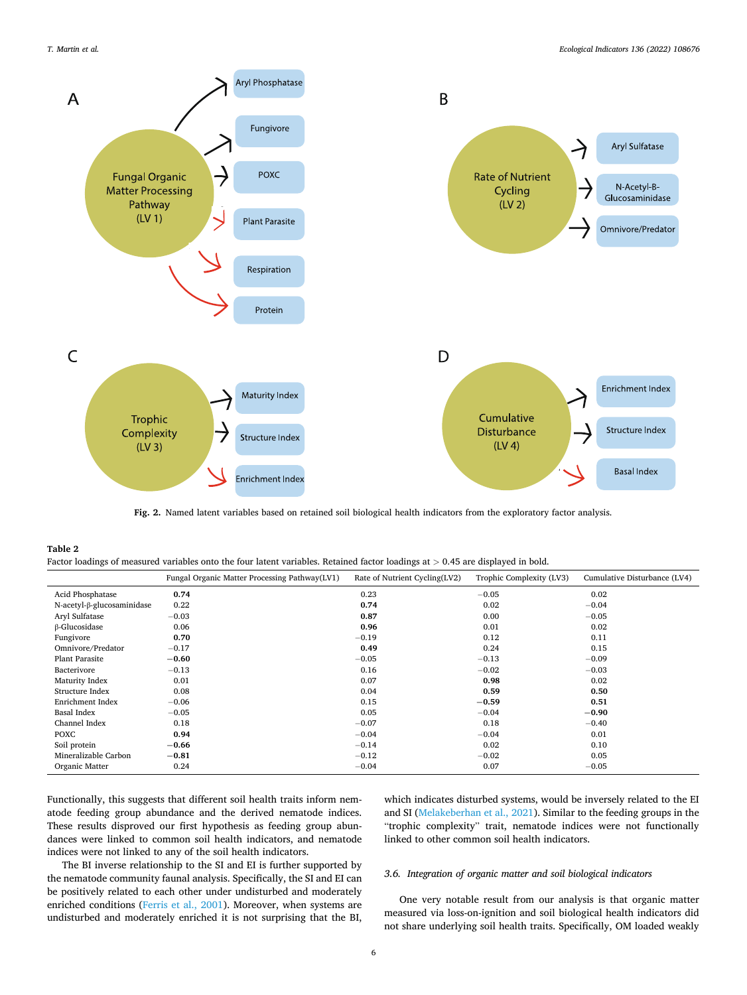<span id="page-5-0"></span>

**Fig. 2.** Named latent variables based on retained soil biological health indicators from the exploratory factor analysis.

| Table 2                                                                                                                           |
|-----------------------------------------------------------------------------------------------------------------------------------|
| Factor loadings of measured variables onto the four latent variables. Retained factor loadings at $> 0.45$ are displayed in bold. |

|                            | Fungal Organic Matter Processing Pathway(LV1) | Rate of Nutrient Cycling(LV2) | Trophic Complexity (LV3) | Cumulative Disturbance (LV4) |
|----------------------------|-----------------------------------------------|-------------------------------|--------------------------|------------------------------|
| Acid Phosphatase           | 0.74                                          | 0.23                          | $-0.05$                  | 0.02                         |
| N-acetyl-β-glucosaminidase | 0.22                                          | 0.74                          | 0.02                     | $-0.04$                      |
| Aryl Sulfatase             | $-0.03$                                       | 0.87                          | 0.00                     | $-0.05$                      |
| $\beta$ -Glucosidase       | 0.06                                          | 0.96                          | 0.01                     | 0.02                         |
| Fungivore                  | 0.70                                          | $-0.19$                       | 0.12                     | 0.11                         |
| Omnivore/Predator          | $-0.17$                                       | 0.49                          | 0.24                     | 0.15                         |
| <b>Plant Parasite</b>      | $-0.60$                                       | $-0.05$                       | $-0.13$                  | $-0.09$                      |
| Bacterivore                | $-0.13$                                       | 0.16                          | $-0.02$                  | $-0.03$                      |
| Maturity Index             | 0.01                                          | 0.07                          | 0.98                     | 0.02                         |
| Structure Index            | 0.08                                          | 0.04                          | 0.59                     | 0.50                         |
| Enrichment Index           | $-0.06$                                       | 0.15                          | $-0.59$                  | 0.51                         |
| Basal Index                | $-0.05$                                       | 0.05                          | $-0.04$                  | $-0.90$                      |
| Channel Index              | 0.18                                          | $-0.07$                       | 0.18                     | $-0.40$                      |
| <b>POXC</b>                | 0.94                                          | $-0.04$                       | $-0.04$                  | 0.01                         |
| Soil protein               | $-0.66$                                       | $-0.14$                       | 0.02                     | 0.10                         |
| Mineralizable Carbon       | $-0.81$                                       | $-0.12$                       | $-0.02$                  | 0.05                         |
| Organic Matter             | 0.24                                          | $-0.04$                       | 0.07                     | $-0.05$                      |

Functionally, this suggests that different soil health traits inform nematode feeding group abundance and the derived nematode indices. These results disproved our first hypothesis as feeding group abundances were linked to common soil health indicators, and nematode indices were not linked to any of the soil health indicators.

which indicates disturbed systems, would be inversely related to the EI and SI ([Melakeberhan et al., 2021\)](#page-9-0). Similar to the feeding groups in the "trophic complexity" trait, nematode indices were not functionally linked to other common soil health indicators.

The BI inverse relationship to the SI and EI is further supported by the nematode community faunal analysis. Specifically, the SI and EI can be positively related to each other under undisturbed and moderately enriched conditions ([Ferris et al., 2001](#page-8-0)). Moreover, when systems are undisturbed and moderately enriched it is not surprising that the BI,

# *3.6. Integration of organic matter and soil biological indicators*

One very notable result from our analysis is that organic matter measured via loss-on-ignition and soil biological health indicators did not share underlying soil health traits. Specifically, OM loaded weakly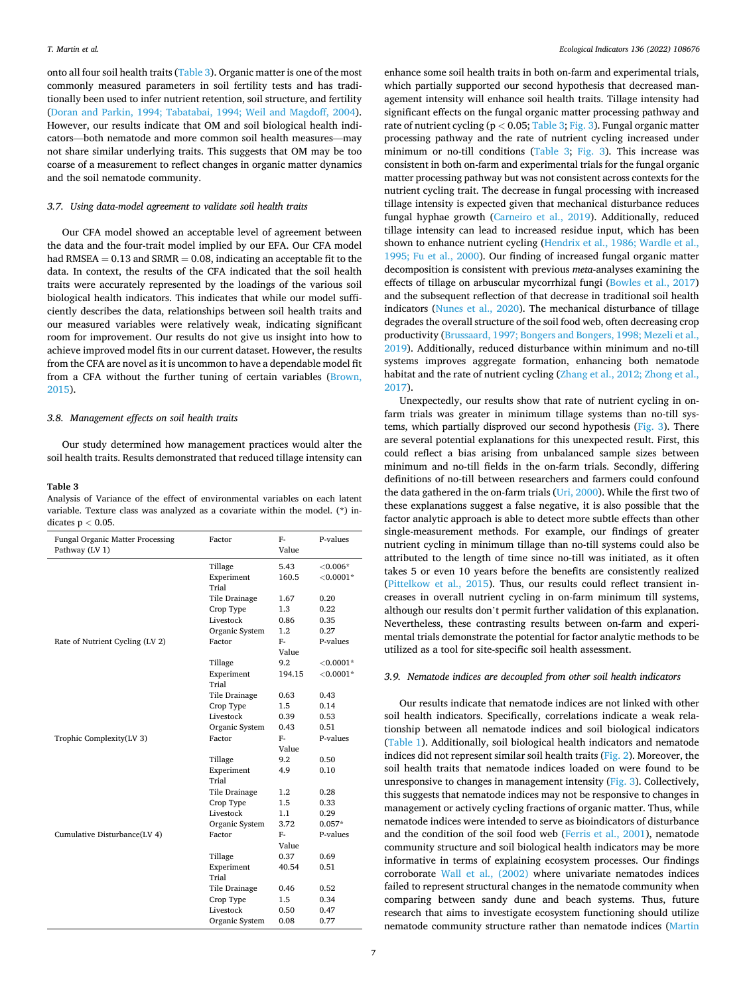onto all four soil health traits (Table 3). Organic matter is one of the most commonly measured parameters in soil fertility tests and has traditionally been used to infer nutrient retention, soil structure, and fertility ([Doran and Parkin, 1994; Tabatabai, 1994; Weil and Magdoff, 2004](#page-8-0)). However, our results indicate that OM and soil biological health indicators—both nematode and more common soil health measures—may not share similar underlying traits. This suggests that OM may be too coarse of a measurement to reflect changes in organic matter dynamics and the soil nematode community.

#### *3.7. Using data-model agreement to validate soil health traits*

Our CFA model showed an acceptable level of agreement between the data and the four-trait model implied by our EFA. Our CFA model had RMSEA  $= 0.13$  and SRMR  $= 0.08$ , indicating an acceptable fit to the data. In context, the results of the CFA indicated that the soil health traits were accurately represented by the loadings of the various soil biological health indicators. This indicates that while our model sufficiently describes the data, relationships between soil health traits and our measured variables were relatively weak, indicating significant room for improvement. Our results do not give us insight into how to achieve improved model fits in our current dataset. However, the results from the CFA are novel as it is uncommon to have a dependable model fit from a CFA without the further tuning of certain variables [\(Brown,](#page-8-0)  [2015\)](#page-8-0).

#### *3.8. Management effects on soil health traits*

Our study determined how management practices would alter the soil health traits. Results demonstrated that reduced tillage intensity can

#### **Table 3**

Analysis of Variance of the effect of environmental variables on each latent variable. Texture class was analyzed as a covariate within the model. (\*) indicates p *<* 0.05.

| <b>Fungal Organic Matter Processing</b><br>Pathway (LV 1) | Factor         | F-<br>Value | P-values     |
|-----------------------------------------------------------|----------------|-------------|--------------|
|                                                           | Tillage        | 5.43        | $< 0.006*$   |
|                                                           | Experiment     | 160.5       | ${<}0.0001*$ |
|                                                           | Trial          |             |              |
|                                                           | Tile Drainage  | 1.67        | 0.20         |
|                                                           | Crop Type      | 1.3         | 0.22         |
|                                                           | Livestock      | 0.86        | 0.35         |
|                                                           | Organic System | 1.2         | 0.27         |
| Rate of Nutrient Cycling (LV 2)                           | Factor         | F-          | P-values     |
|                                                           |                | Value       |              |
|                                                           | Tillage        | 9.2         | ${<}0.0001*$ |
|                                                           | Experiment     | 194.15      | $< 0.0001*$  |
|                                                           | Trial          |             |              |
|                                                           | Tile Drainage  | 0.63        | 0.43         |
|                                                           | Crop Type      | 1.5         | 0.14         |
|                                                           | Livestock      | 0.39        | 0.53         |
|                                                           | Organic System | 0.43        | 0.51         |
| Trophic Complexity(LV 3)                                  | Factor         | F-          | P-values     |
|                                                           |                | Value       |              |
|                                                           | Tillage        | 9.2         | 0.50         |
|                                                           | Experiment     | 4.9         | 0.10         |
|                                                           | Trial          |             |              |
|                                                           | Tile Drainage  | 1.2         | 0.28         |
|                                                           | Crop Type      | 1.5         | 0.33         |
|                                                           | Livestock      | 1.1         | 0.29         |
|                                                           | Organic System | 3.72        | $0.057*$     |
| Cumulative Disturbance(LV 4)                              | Factor         | F-          | P-values     |
|                                                           |                | Value       |              |
|                                                           | Tillage        | 0.37        | 0.69         |
|                                                           | Experiment     | 40.54       | 0.51         |
|                                                           | Trial          |             |              |
|                                                           | Tile Drainage  | 0.46        | 0.52         |
|                                                           | Crop Type      | 1.5         | 0.34         |
|                                                           | Livestock      | 0.50        | 0.47         |
|                                                           | Organic System | 0.08        | 0.77         |

enhance some soil health traits in both on-farm and experimental trials, which partially supported our second hypothesis that decreased management intensity will enhance soil health traits. Tillage intensity had significant effects on the fungal organic matter processing pathway and rate of nutrient cycling (p *<* 0.05; Table 3; [Fig. 3\)](#page-7-0). Fungal organic matter processing pathway and the rate of nutrient cycling increased under minimum or no-till conditions (Table 3; [Fig. 3\)](#page-7-0). This increase was consistent in both on-farm and experimental trials for the fungal organic matter processing pathway but was not consistent across contexts for the nutrient cycling trait. The decrease in fungal processing with increased tillage intensity is expected given that mechanical disturbance reduces fungal hyphae growth ([Carneiro et al., 2019\)](#page-8-0). Additionally, reduced tillage intensity can lead to increased residue input, which has been shown to enhance nutrient cycling [\(Hendrix et al., 1986; Wardle et al.,](#page-9-0)  [1995; Fu et al., 2000](#page-9-0)). Our finding of increased fungal organic matter decomposition is consistent with previous *meta*-analyses examining the effects of tillage on arbuscular mycorrhizal fungi [\(Bowles et al., 2017\)](#page-8-0) and the subsequent reflection of that decrease in traditional soil health indicators ([Nunes et al., 2020\)](#page-9-0). The mechanical disturbance of tillage degrades the overall structure of the soil food web, often decreasing crop productivity ([Brussaard, 1997; Bongers and Bongers, 1998; Mezeli et al.,](#page-8-0)  [2019\)](#page-8-0). Additionally, reduced disturbance within minimum and no-till systems improves aggregate formation, enhancing both nematode habitat and the rate of nutrient cycling ([Zhang et al., 2012; Zhong et al.,](#page-10-0)  [2017\)](#page-10-0).

Unexpectedly, our results show that rate of nutrient cycling in onfarm trials was greater in minimum tillage systems than no-till systems, which partially disproved our second hypothesis ([Fig. 3](#page-7-0)). There are several potential explanations for this unexpected result. First, this could reflect a bias arising from unbalanced sample sizes between minimum and no-till fields in the on-farm trials. Secondly, differing definitions of no-till between researchers and farmers could confound the data gathered in the on-farm trials ([Uri, 2000](#page-10-0)). While the first two of these explanations suggest a false negative, it is also possible that the factor analytic approach is able to detect more subtle effects than other single-measurement methods. For example, our findings of greater nutrient cycling in minimum tillage than no-till systems could also be attributed to the length of time since no-till was initiated, as it often takes 5 or even 10 years before the benefits are consistently realized ([Pittelkow et al., 2015\)](#page-9-0). Thus, our results could reflect transient increases in overall nutrient cycling in on-farm minimum till systems, although our results don't permit further validation of this explanation. Nevertheless, these contrasting results between on-farm and experimental trials demonstrate the potential for factor analytic methods to be utilized as a tool for site-specific soil health assessment.

#### *3.9. Nematode indices are decoupled from other soil health indicators*

Our results indicate that nematode indices are not linked with other soil health indicators. Specifically, correlations indicate a weak relationship between all nematode indices and soil biological indicators ([Table 1](#page-4-0)). Additionally, soil biological health indicators and nematode indices did not represent similar soil health traits ([Fig. 2](#page-5-0)). Moreover, the soil health traits that nematode indices loaded on were found to be unresponsive to changes in management intensity ([Fig. 3\)](#page-7-0). Collectively, this suggests that nematode indices may not be responsive to changes in management or actively cycling fractions of organic matter. Thus, while nematode indices were intended to serve as bioindicators of disturbance and the condition of the soil food web ([Ferris et al., 2001\)](#page-8-0), nematode community structure and soil biological health indicators may be more informative in terms of explaining ecosystem processes. Our findings corroborate [Wall et al., \(2002\)](#page-10-0) where univariate nematodes indices failed to represent structural changes in the nematode community when comparing between sandy dune and beach systems. Thus, future research that aims to investigate ecosystem functioning should utilize nematode community structure rather than nematode indices ([Martin](#page-9-0)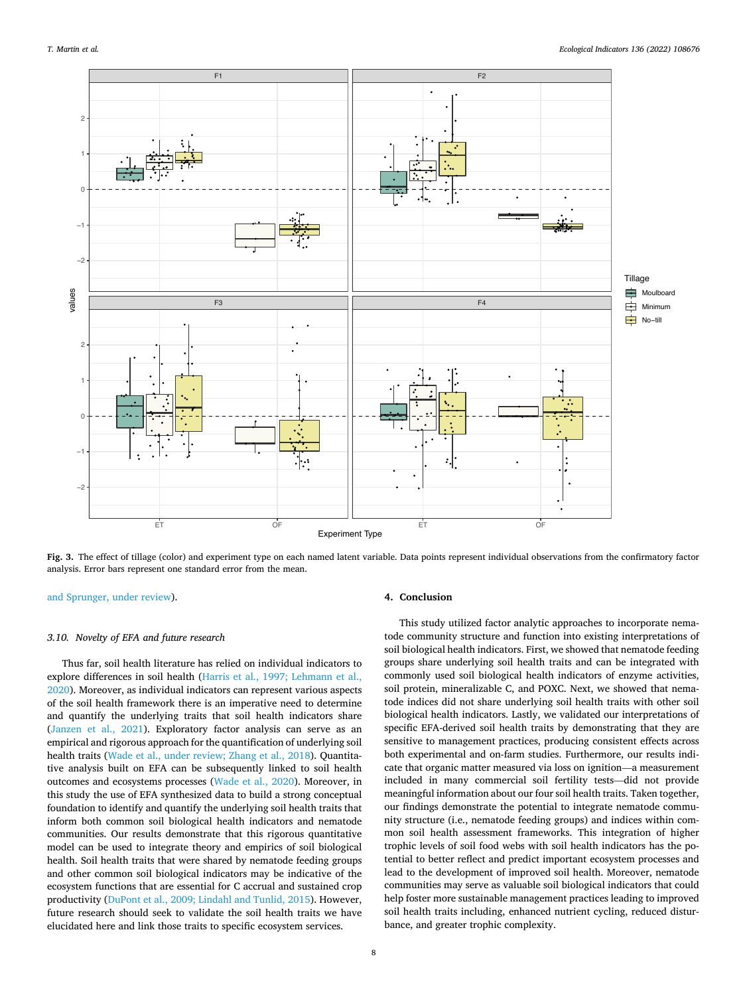<span id="page-7-0"></span>

**Fig. 3.** The effect of tillage (color) and experiment type on each named latent variable. Data points represent individual observations from the confirmatory factor analysis. Error bars represent one standard error from the mean.

[and Sprunger, under review](#page-9-0)).

#### *3.10. Novelty of EFA and future research*

Thus far, soil health literature has relied on individual indicators to explore differences in soil health [\(Harris et al., 1997; Lehmann et al.,](#page-9-0)  [2020\)](#page-9-0). Moreover, as individual indicators can represent various aspects of the soil health framework there is an imperative need to determine and quantify the underlying traits that soil health indicators share ([Janzen et al., 2021\)](#page-9-0). Exploratory factor analysis can serve as an empirical and rigorous approach for the quantification of underlying soil health traits ([Wade et al., under review; Zhang et al., 2018\)](#page-10-0). Quantitative analysis built on EFA can be subsequently linked to soil health outcomes and ecosystems processes ([Wade et al., 2020\)](#page-10-0). Moreover, in this study the use of EFA synthesized data to build a strong conceptual foundation to identify and quantify the underlying soil health traits that inform both common soil biological health indicators and nematode communities. Our results demonstrate that this rigorous quantitative model can be used to integrate theory and empirics of soil biological health. Soil health traits that were shared by nematode feeding groups and other common soil biological indicators may be indicative of the ecosystem functions that are essential for C accrual and sustained crop productivity ([DuPont et al., 2009; Lindahl and Tunlid, 2015](#page-8-0)). However, future research should seek to validate the soil health traits we have elucidated here and link those traits to specific ecosystem services.

#### **4. Conclusion**

This study utilized factor analytic approaches to incorporate nematode community structure and function into existing interpretations of soil biological health indicators. First, we showed that nematode feeding groups share underlying soil health traits and can be integrated with commonly used soil biological health indicators of enzyme activities, soil protein, mineralizable C, and POXC. Next, we showed that nematode indices did not share underlying soil health traits with other soil biological health indicators. Lastly, we validated our interpretations of specific EFA-derived soil health traits by demonstrating that they are sensitive to management practices, producing consistent effects across both experimental and on-farm studies. Furthermore, our results indicate that organic matter measured via loss on ignition—a measurement included in many commercial soil fertility tests—did not provide meaningful information about our four soil health traits. Taken together, our findings demonstrate the potential to integrate nematode community structure (i.e., nematode feeding groups) and indices within common soil health assessment frameworks. This integration of higher trophic levels of soil food webs with soil health indicators has the potential to better reflect and predict important ecosystem processes and lead to the development of improved soil health. Moreover, nematode communities may serve as valuable soil biological indicators that could help foster more sustainable management practices leading to improved soil health traits including, enhanced nutrient cycling, reduced disturbance, and greater trophic complexity.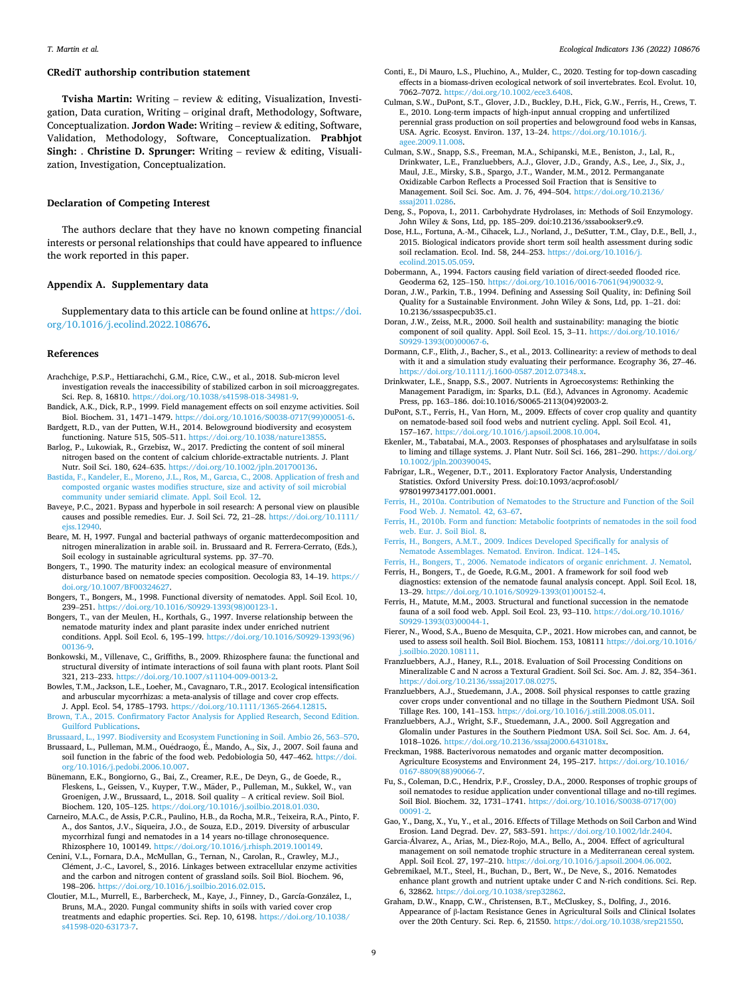#### <span id="page-8-0"></span>**CRediT authorship contribution statement**

**Tvisha Martin:** Writing – review & editing, Visualization, Investigation, Data curation, Writing – original draft, Methodology, Software, Conceptualization. **Jordon Wade:** Writing – review & editing, Software, Validation, Methodology, Software, Conceptualization. **Prabhjot Singh:** . **Christine D. Sprunger:** Writing – review & editing, Visualization, Investigation, Conceptualization.

## **Declaration of Competing Interest**

The authors declare that they have no known competing financial interests or personal relationships that could have appeared to influence the work reported in this paper.

#### **Appendix A. Supplementary data**

Supplementary data to this article can be found online at [https://doi.](https://doi.org/10.1016/j.ecolind.2022.108676)  [org/10.1016/j.ecolind.2022.108676.](https://doi.org/10.1016/j.ecolind.2022.108676)

#### **References**

- Arachchige, P.S.P., Hettiarachchi, G.M., Rice, C.W., et al., 2018. Sub-micron level investigation reveals the inaccessibility of stabilized carbon in soil microaggregates. Sci. Rep. 8, 16810. [https://doi.org/10.1038/s41598-018-34981-9.](https://doi.org/10.1038/s41598-018-34981-9)
- Bandick, A.K., Dick, R.P., 1999. Field management effects on soil enzyme activities. Soil Biol. Biochem. 31, 1471–1479. [https://doi.org/10.1016/S0038-0717\(99\)00051-6](https://doi.org/10.1016/S0038-0717(99)00051-6).
- Bardgett, R.D., van der Putten, W.H., 2014. Belowground biodiversity and ecosystem functioning. Nature 515, 505–511. [https://doi.org/10.1038/nature13855.](https://doi.org/10.1038/nature13855)
- Barlog, P., Lukowiak, R., Grzebisz, W., 2017. Predicting the content of soil mineral nitrogen based on the content of calcium chloride-extractable nutrients. J. Plant Nutr. Soil Sci. 180, 624–635. <https://doi.org/10.1002/jpln.201700136>.
- [Bastida, F., Kandeler, E., Moreno, J.L., Ros, M., Garcıa, C., 2008. Application of fresh and](http://refhub.elsevier.com/S1470-160X(22)00147-9/h0025)  [composted organic wastes modifies structure, size and activity of soil microbial](http://refhub.elsevier.com/S1470-160X(22)00147-9/h0025) [community under semiarid climate. Appl. Soil Ecol. 12](http://refhub.elsevier.com/S1470-160X(22)00147-9/h0025).
- Baveye, P.C., 2021. Bypass and hyperbole in soil research: A personal view on plausible causes and possible remedies. Eur. J. Soil Sci. 72, 21–28. [https://doi.org/10.1111/](https://doi.org/10.1111/ejss.12940) [ejss.12940](https://doi.org/10.1111/ejss.12940).
- Beare, M. H, 1997. Fungal and bacterial pathways of organic matterdecomposition and nitrogen mineralization in arable soil. in. Brussaard and R. Ferrera-Cerrato, (Eds.), Soil ecology in sustainable agricultural systems. pp. 37–70.
- Bongers, T., 1990. The maturity index: an ecological measure of environmental disturbance based on nematode species composition. Oecologia 83, 14–19. [https://](https://doi.org/10.1007/BF00324627)  [doi.org/10.1007/BF00324627](https://doi.org/10.1007/BF00324627).
- Bongers, T., Bongers, M., 1998. Functional diversity of nematodes. Appl. Soil Ecol. 10, 239–251. [https://doi.org/10.1016/S0929-1393\(98\)00123-1.](https://doi.org/10.1016/S0929-1393(98)00123-1)
- Bongers, T., van der Meulen, H., Korthals, G., 1997. Inverse relationship between the nematode maturity index and plant parasite index under enriched nutrient conditions. Appl. Soil Ecol. 6, 195–199. [https://doi.org/10.1016/S0929-1393\(96\)](https://doi.org/10.1016/S0929-1393(96)00136-9)  [00136-9](https://doi.org/10.1016/S0929-1393(96)00136-9).
- Bonkowski, M., Villenave, C., Griffiths, B., 2009. Rhizosphere fauna: the functional and structural diversity of intimate interactions of soil fauna with plant roots. Plant Soil 321, 213–233. [https://doi.org/10.1007/s11104-009-0013-2.](https://doi.org/10.1007/s11104-009-0013-2)
- Bowles, T.M., Jackson, L.E., Loeher, M., Cavagnaro, T.R., 2017. Ecological intensification and arbuscular mycorrhizas: a meta-analysis of tillage and cover crop effects. J. Appl. Ecol. 54, 1785–1793. [https://doi.org/10.1111/1365-2664.12815.](https://doi.org/10.1111/1365-2664.12815)
- [Brown, T.A., 2015. Confirmatory Factor Analysis for Applied Research, Second Edition.](http://refhub.elsevier.com/S1470-160X(22)00147-9/h0070)  [Guilford Publications.](http://refhub.elsevier.com/S1470-160X(22)00147-9/h0070)
- [Brussaard, L., 1997. Biodiversity and Ecosystem Functioning in Soil. Ambio 26, 563](http://refhub.elsevier.com/S1470-160X(22)00147-9/h0075)–570.
- Brussaard, L., Pulleman, M.M., Ouédraogo, É., Mando, A., Six, J., 2007. Soil fauna and soil function in the fabric of the food web. Pedobiologia 50, 447–462. [https://doi.](https://doi.org/10.1016/j.pedobi.2006.10.007)  [org/10.1016/j.pedobi.2006.10.007.](https://doi.org/10.1016/j.pedobi.2006.10.007)
- Bünemann, E.K., Bongiorno, G., Bai, Z., Creamer, R.E., De Deyn, G., de Goede, R., Fleskens, L., Geissen, V., Kuyper, T.W., Mäder, P., Pulleman, M., Sukkel, W., van Groenigen, J.W., Brussaard, L., 2018. Soil quality – A critical review. Soil Biol. Biochem. 120, 105–125. <https://doi.org/10.1016/j.soilbio.2018.01.030>.
- Carneiro, M.A.C., de Assis, P.C.R., Paulino, H.B., da Rocha, M.R., Teixeira, R.A., Pinto, F. A., dos Santos, J.V., Siqueira, J.O., de Souza, E.D., 2019. Diversity of arbuscular mycorrhizal fungi and nematodes in a 14 years no-tillage chronosequence. Rhizosphere 10, 100149. [https://doi.org/10.1016/j.rhisph.2019.100149.](https://doi.org/10.1016/j.rhisph.2019.100149)
- Cenini, V.L., Fornara, D.A., McMullan, G., Ternan, N., Carolan, R., Crawley, M.J. Clément, J.-C., Lavorel, S., 2016. Linkages between extracellular enzyme activities and the carbon and nitrogen content of grassland soils. Soil Biol. Biochem. 96, 198–206. <https://doi.org/10.1016/j.soilbio.2016.02.015>.
- Cloutier, M.L., Murrell, E., Barbercheck, M., Kaye, J., Finney, D., García-González, I., Bruns, M.A., 2020. Fungal community shifts in soils with varied cover crop treatments and edaphic properties. Sci. Rep. 10, 6198. [https://doi.org/10.1038/](https://doi.org/10.1038/s41598-020-63173-7)  [s41598-020-63173-7](https://doi.org/10.1038/s41598-020-63173-7).
- Conti, E., Di Mauro, L.S., Pluchino, A., Mulder, C., 2020. Testing for top-down cascading effects in a biomass-driven ecological network of soil invertebrates. Ecol. Evolut. 10, 7062–7072.<https://doi.org/10.1002/ece3.6408>.
- Culman, S.W., DuPont, S.T., Glover, J.D., Buckley, D.H., Fick, G.W., Ferris, H., Crews, T. E., 2010. Long-term impacts of high-input annual cropping and unfertilized perennial grass production on soil properties and belowground food webs in Kansas, USA. Agric. Ecosyst. Environ. 137, 13–24. [https://doi.org/10.1016/j.](https://doi.org/10.1016/j.agee.2009.11.008)  [agee.2009.11.008](https://doi.org/10.1016/j.agee.2009.11.008).
- Culman, S.W., Snapp, S.S., Freeman, M.A., Schipanski, M.E., Beniston, J., Lal, R., Drinkwater, L.E., Franzluebbers, A.J., Glover, J.D., Grandy, A.S., Lee, J., Six, J., Maul, J.E., Mirsky, S.B., Spargo, J.T., Wander, M.M., 2012. Permanganate Oxidizable Carbon Reflects a Processed Soil Fraction that is Sensitive to Management. Soil Sci. Soc. Am. J. 76, 494–504. [https://doi.org/10.2136/](https://doi.org/10.2136/sssaj2011.0286)  [sssaj2011.0286.](https://doi.org/10.2136/sssaj2011.0286)
- Deng, S., Popova, I., 2011. Carbohydrate Hydrolases, in: Methods of Soil Enzymology. John Wiley & Sons, Ltd, pp. 185–209. doi:10.2136/sssabookser9.c9.
- Dose, H.L., Fortuna, A.-M., Cihacek, L.J., Norland, J., DeSutter, T.M., Clay, D.E., Bell, J., 2015. Biological indicators provide short term soil health assessment during sodic soil reclamation. Ecol. Ind. 58, 244–253. [https://doi.org/10.1016/j.](https://doi.org/10.1016/j.ecolind.2015.05.059) [ecolind.2015.05.059.](https://doi.org/10.1016/j.ecolind.2015.05.059)
- Dobermann, A., 1994. Factors causing field variation of direct-seeded flooded rice. Geoderma 62, 125–150. [https://doi.org/10.1016/0016-7061\(94\)90032-9](https://doi.org/10.1016/0016-7061(94)90032-9).
- Doran, J.W., Parkin, T.B., 1994. Defining and Assessing Soil Quality, in: Defining Soil Quality for a Sustainable Environment. John Wiley & Sons, Ltd, pp. 1–21. doi: 10.2136/sssaspecpub35.c1.
- Doran, J.W., Zeiss, M.R., 2000. Soil health and sustainability: managing the biotic component of soil quality. Appl. Soil Ecol. 15, 3-11. [https://doi.org/10.1016/](https://doi.org/10.1016/S0929-1393(00)00067-6) [S0929-1393\(00\)00067-6](https://doi.org/10.1016/S0929-1393(00)00067-6).
- Dormann, C.F., Elith, J., Bacher, S., et al., 2013. Collinearity: a review of methods to deal with it and a simulation study evaluating their performance. Ecography 36, 27–46. [https://doi.org/10.1111/j.1600-0587.2012.07348.x.](https://doi.org/10.1111/j.1600-0587.2012.07348.x)
- Drinkwater, L.E., Snapp, S.S., 2007. Nutrients in Agroecosystems: Rethinking the Management Paradigm, in: Sparks, D.L. (Ed.), Advances in Agronomy. Academic Press, pp. 163–186. doi:10.1016/S0065-2113(04)92003-2.
- DuPont, S.T., Ferris, H., Van Horn, M., 2009. Effects of cover crop quality and quantity on nematode-based soil food webs and nutrient cycling. Appl. Soil Ecol. 41, 157–167. [https://doi.org/10.1016/j.apsoil.2008.10.004.](https://doi.org/10.1016/j.apsoil.2008.10.004)
- Ekenler, M., Tabatabai, M.A., 2003. Responses of phosphatases and arylsulfatase in soils to liming and tillage systems. J. Plant Nutr. Soil Sci. 166, 281-290. https://doi.org/ [10.1002/jpln.200390045](https://doi.org/10.1002/jpln.200390045).
- Fabrigar, L.R., Wegener, D.T., 2011. Exploratory Factor Analysis, Understanding Statistics. Oxford University Press. doi:10.1093/acprof:osobl/ 9780199734177.001.0001.
- [Ferris, H., 2010a. Contribution of Nematodes to the Structure and Function of the Soil](http://refhub.elsevier.com/S1470-160X(22)00147-9/h0180)  [Food Web. J. Nematol. 42, 63](http://refhub.elsevier.com/S1470-160X(22)00147-9/h0180)–67.
- [Ferris, H., 2010b. Form and function: Metabolic footprints of nematodes in the soil food](http://refhub.elsevier.com/S1470-160X(22)00147-9/h0185)  [web. Eur. J. Soil Biol. 8](http://refhub.elsevier.com/S1470-160X(22)00147-9/h0185).
- [Ferris, H., Bongers, A.M.T., 2009. Indices Developed Specifically for analysis of](http://refhub.elsevier.com/S1470-160X(22)00147-9/h0190) [Nematode Assemblages. Nematod. Environ. Indicat. 124](http://refhub.elsevier.com/S1470-160X(22)00147-9/h0190)–145.
- [Ferris, H., Bongers, T., 2006. Nematode indicators of organic enrichment. J. Nematol.](http://refhub.elsevier.com/S1470-160X(22)00147-9/h0195)
- Ferris, H., Bongers, T., de Goede, R.G.M., 2001. A framework for soil food web diagnostics: extension of the nematode faunal analysis concept. Appl. Soil Ecol. 18, 13–29. [https://doi.org/10.1016/S0929-1393\(01\)00152-4](https://doi.org/10.1016/S0929-1393(01)00152-4).
- Ferris, H., Matute, M.M., 2003. Structural and functional succession in the nematode fauna of a soil food web. Appl. Soil Ecol. 23, 93–110. [https://doi.org/10.1016/](https://doi.org/10.1016/S0929-1393(03)00044-1)  [S0929-1393\(03\)00044-1](https://doi.org/10.1016/S0929-1393(03)00044-1).
- Fierer, N., Wood, S.A., Bueno de Mesquita, C.P., 2021. How microbes can, and cannot, be used to assess soil health. Soil Biol. Biochem. 153, 108111 [https://doi.org/10.1016/](https://doi.org/10.1016/j.soilbio.2020.108111)  [j.soilbio.2020.108111](https://doi.org/10.1016/j.soilbio.2020.108111).
- Franzluebbers, A.J., Haney, R.L., 2018. Evaluation of Soil Processing Conditions on Mineralizable C and N across a Textural Gradient. Soil Sci. Soc. Am. J. 82, 354–361. [https://doi.org/10.2136/sssaj2017.08.0275.](https://doi.org/10.2136/sssaj2017.08.0275)
- Franzluebbers, A.J., Stuedemann, J.A., 2008. Soil physical responses to cattle grazing cover crops under conventional and no tillage in the Southern Piedmont USA. Soil Tillage Res. 100, 141–153. <https://doi.org/10.1016/j.still.2008.05.011>.
- Franzluebbers, A.J., Wright, S.F., Stuedemann, J.A., 2000. Soil Aggregation and Glomalin under Pastures in the Southern Piedmont USA. Soil Sci. Soc. Am. J. 64, 1018–1026.<https://doi.org/10.2136/sssaj2000.6431018x>.
- Freckman, 1988. Bacterivorous nematodes and organic matter decomposition. Agriculture Ecosystems and Environment 24, 195–217. [https://doi.org/10.1016/](https://doi.org/10.1016/0167-8809(88)90066-7) [0167-8809\(88\)90066-7.](https://doi.org/10.1016/0167-8809(88)90066-7)
- Fu, S., Coleman, D.C., Hendrix, P.F., Crossley, D.A., 2000. Responses of trophic groups of soil nematodes to residue application under conventional tillage and no-till regimes. Soil Biol. Biochem. 32, 1731–1741. [https://doi.org/10.1016/S0038-0717\(00\)](https://doi.org/10.1016/S0038-0717(00)00091-2) [00091-2](https://doi.org/10.1016/S0038-0717(00)00091-2).
- Gao, Y., Dang, X., Yu, Y., et al., 2016. Effects of Tillage Methods on Soil Carbon and Wind Erosion. Land Degrad. Dev. 27, 583–591.<https://doi.org/10.1002/ldr.2404>.
- García-Álvarez, A., Arias, M., Díez-Rojo, M.A., Bello, A., 2004. Effect of agricultural management on soil nematode trophic structure in a Mediterranean cereal system. Appl. Soil Ecol. 27, 197–210. [https://doi.org/10.1016/j.apsoil.2004.06.002.](https://doi.org/10.1016/j.apsoil.2004.06.002)
- Gebremikael, M.T., Steel, H., Buchan, D., Bert, W., De Neve, S., 2016. Nematodes enhance plant growth and nutrient uptake under C and N-rich conditions. Sci. Rep. 6, 32862. <https://doi.org/10.1038/srep32862>.
- Graham, D.W., Knapp, C.W., Christensen, B.T., McCluskey, S., Dolfing, J., 2016. Appearance of β-lactam Resistance Genes in Agricultural Soils and Clinical Isolates over the 20th Century. Sci. Rep. 6, 21550. <https://doi.org/10.1038/srep21550>.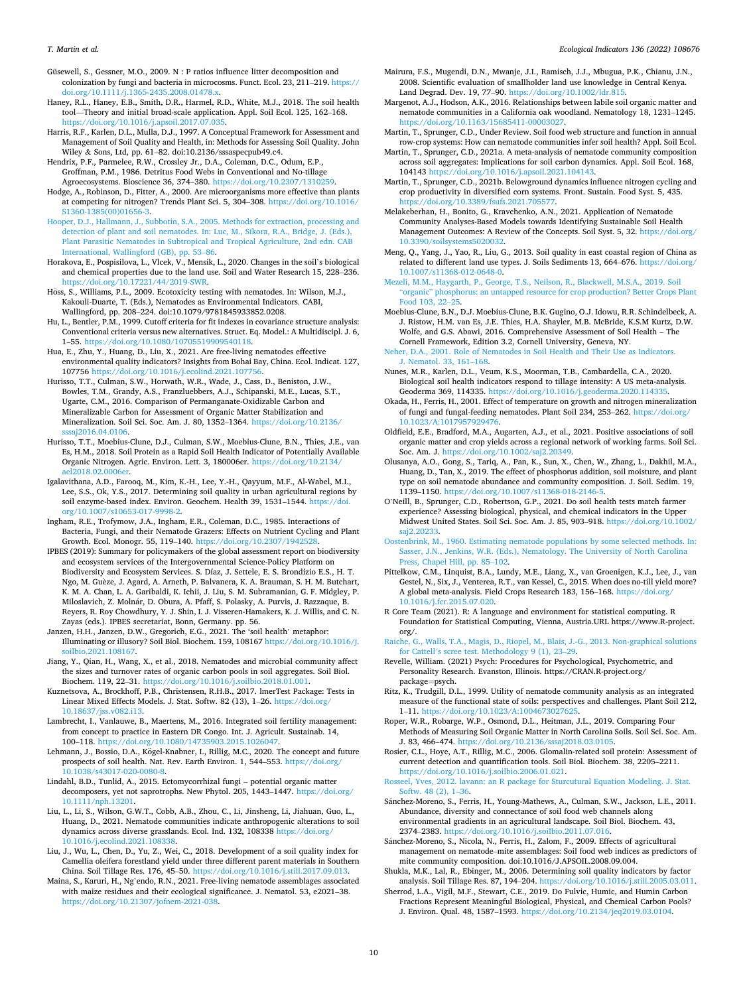<span id="page-9-0"></span>Güsewell, S., Gessner, M.O., 2009. N : P ratios influence litter decomposition and colonization by fungi and bacteria in microcosms. Funct. Ecol. 23, 211–219. [https://](https://doi.org/10.1111/j.1365-2435.2008.01478.x)  [doi.org/10.1111/j.1365-2435.2008.01478.x.](https://doi.org/10.1111/j.1365-2435.2008.01478.x)

Haney, R.L., Haney, E.B., Smith, D.R., Harmel, R.D., White, M.J., 2018. The soil health tool—Theory and initial broad-scale application. Appl. Soil Ecol. 125, 162–168. <https://doi.org/10.1016/j.apsoil.2017.07.035>.

Harris, R.F., Karlen, D.L., Mulla, D.J., 1997. A Conceptual Framework for Assessment and Management of Soil Quality and Health, in: Methods for Assessing Soil Quality. John Wiley & Sons, Ltd, pp. 61–82. doi:10.2136/sssaspecpub49.c4.

Hendrix, P.F., Parmelee, R.W., Crossley Jr., D.A., Coleman, D.C., Odum, E.P., Groffman, P.M., 1986. Detritus Food Webs in Conventional and No-tillage Agroecosystems. Bioscience 36, 374–380. [https://doi.org/10.2307/1310259.](https://doi.org/10.2307/1310259)

Hodge, A., Robinson, D., Fitter, A., 2000. Are microorganisms more effective than plants at competing for nitrogen? Trends Plant Sci. 5, 304–308. [https://doi.org/10.1016/](https://doi.org/10.1016/S1360-1385(00)01656-3) [S1360-1385\(00\)01656-3](https://doi.org/10.1016/S1360-1385(00)01656-3).

[Hooper, D.J., Hallmann, J., Subbotin, S.A., 2005. Methods for extraction, processing and](http://refhub.elsevier.com/S1470-160X(22)00147-9/h0280)  [detection of plant and soil nematodes. In: Luc, M., Sikora, R.A., Bridge, J. \(Eds.\),](http://refhub.elsevier.com/S1470-160X(22)00147-9/h0280)  [Plant Parasitic Nematodes in Subtropical and Tropical Agriculture, 2nd edn. CAB](http://refhub.elsevier.com/S1470-160X(22)00147-9/h0280) [International, Wallingford \(GB\), pp. 53](http://refhub.elsevier.com/S1470-160X(22)00147-9/h0280)–86.

Horakova, E., Pospisilova, L., Vlcek, V., Mensik, L., 2020. Changes in the soil's biological and chemical properties due to the land use. Soil and Water Research 15, 228–236. <https://doi.org/10.17221/44/2019-SWR>.

Höss, S., Williams, P.L., 2009. Ecotoxicity testing with nematodes. In: Wilson, M.J., Kakouli-Duarte, T. (Eds.), Nematodes as Environmental Indicators. CABI, Wallingford, pp. 208–224. doi:10.1079/9781845933852.0208.

Hu, L., Bentler, P.M., 1999. Cutoff criteria for fit indexes in covariance structure analysis: Conventional criteria versus new alternatives. Struct. Eq. Model.: A Multidiscipl. J. 6, 1–55.<https://doi.org/10.1080/10705519909540118>.

Hua, E., Zhu, Y., Huang, D., Liu, X., 2021. Are free-living nematodes effective environmental quality indicators? Insights from Bohai Bay, China. Ecol. Indicat. 127, 107756 [https://doi.org/10.1016/j.ecolind.2021.107756.](https://doi.org/10.1016/j.ecolind.2021.107756)

Hurisso, T.T., Culman, S.W., Horwath, W.R., Wade, J., Cass, D., Beniston, J.W., Bowles, T.M., Grandy, A.S., Franzluebbers, A.J., Schipanski, M.E., Lucas, S.T., Ugarte, C.M., 2016. Comparison of Permanganate-Oxidizable Carbon and Mineralizable Carbon for Assessment of Organic Matter Stabilization and Mineralization. Soil Sci. Soc. Am. J. 80, 1352–1364. [https://doi.org/10.2136/](https://doi.org/10.2136/sssaj2016.04.0106)  [sssaj2016.04.0106.](https://doi.org/10.2136/sssaj2016.04.0106)

Hurisso, T.T., Moebius-Clune, D.J., Culman, S.W., Moebius-Clune, B.N., Thies, J.E., van Es, H.M., 2018. Soil Protein as a Rapid Soil Health Indicator of Potentially Available Organic Nitrogen. Agric. Environ. Lett. 3, 180006er. [https://doi.org/10.2134/](https://doi.org/10.2134/ael2018.02.0006er)  [ael2018.02.0006er.](https://doi.org/10.2134/ael2018.02.0006er)

Igalavithana, A.D., Farooq, M., Kim, K.-H., Lee, Y.-H., Qayyum, M.F., Al-Wabel, M.I., Lee, S.S., Ok, Y.S., 2017. Determining soil quality in urban agricultural regions by soil enzyme-based index. Environ. Geochem. Health 39, 1531-1544. https://doi. [org/10.1007/s10653-017-9998-2.](https://doi.org/10.1007/s10653-017-9998-2)

Ingham, R.E., Trofymow, J.A., Ingham, E.R., Coleman, D.C., 1985. Interactions of Bacteria, Fungi, and their Nematode Grazers: Effects on Nutrient Cycling and Plant Growth. Ecol. Monogr. 55, 119–140. <https://doi.org/10.2307/1942528>.

IPBES (2019): Summary for policymakers of the global assessment report on biodiversity and ecosystem services of the Intergovernmental Science-Policy Platform on Biodiversity and Ecosystem Services. S. Díaz, J. Settele, E. S. Brondízio E.S., H. T. Ngo, M. Guèze, J. Agard, A. Arneth, P. Balvanera, K. A. Brauman, S. H. M. Butchart, K. M. A. Chan, L. A. Garibaldi, K. Ichii, J. Liu, S. M. Subramanian, G. F. Midgley, P. Miloslavich, Z. Molnár, D. Obura, A. Pfaff, S. Polasky, A. Purvis, J. Razzaque, B. Reyers, R. Roy Chowdhury, Y. J. Shin, I. J. Visseren-Hamakers, K. J. Willis, and C. N. Zayas (eds.). IPBES secretariat, Bonn, Germany. pp. 56.

Janzen, H.H., Janzen, D.W., Gregorich, E.G., 2021. The 'soil health' metaphor: Illuminating or illusory? Soil Biol. Biochem. 159, 108167 [https://doi.org/10.1016/j.](https://doi.org/10.1016/j.soilbio.2021.108167)  [soilbio.2021.108167.](https://doi.org/10.1016/j.soilbio.2021.108167)

Jiang, Y., Qian, H., Wang, X., et al., 2018. Nematodes and microbial community affect the sizes and turnover rates of organic carbon pools in soil aggregates. Soil Biol. Biochem. 119, 22–31. [https://doi.org/10.1016/j.soilbio.2018.01.001.](https://doi.org/10.1016/j.soilbio.2018.01.001)

Kuznetsova, A., Brockhoff, P.B., Christensen, R.H.B., 2017. lmerTest Package: Tests in Linear Mixed Effects Models. J. Stat. Softw. 82 (13), 1-26. https://doi.org [10.18637/jss.v082.i13](https://doi.org/10.18637/jss.v082.i13).

Lambrecht, I., Vanlauwe, B., Maertens, M., 2016. Integrated soil fertility management: from concept to practice in Eastern DR Congo. Int. J. Agricult. Sustainab. 14, 100–118. [https://doi.org/10.1080/14735903.2015.1026047.](https://doi.org/10.1080/14735903.2015.1026047)

Lehmann, J., Bossio, D.A., Kögel-Knabner, I., Rillig, M.C., 2020. The concept and future prospects of soil health. Nat. Rev. Earth Environ. 1, 544-553. https://doi.org/ [10.1038/s43017-020-0080-8](https://doi.org/10.1038/s43017-020-0080-8).

Lindahl, B.D., Tunlid, A., 2015. Ectomycorrhizal fungi – potential organic matter decomposers, yet not saprotrophs. New Phytol. 205, 1443–1447. [https://doi.org/](https://doi.org/10.1111/nph.13201)  [10.1111/nph.13201.](https://doi.org/10.1111/nph.13201)

Liu, L., Li, S., Wilson, G.W.T., Cobb, A.B., Zhou, C., Li, Jinsheng, Li, Jiahuan, Guo, L., Huang, D., 2021. Nematode communities indicate anthropogenic alterations to soil dynamics across diverse grasslands. Ecol. Ind. 132, 108338 [https://doi.org/](https://doi.org/10.1016/j.ecolind.2021.108338)  [10.1016/j.ecolind.2021.108338.](https://doi.org/10.1016/j.ecolind.2021.108338)

Liu, J., Wu, L., Chen, D., Yu, Z., Wei, C., 2018. Development of a soil quality index for Camellia oleifera forestland yield under three different parent materials in Southern China. Soil Tillage Res. 176, 45–50. <https://doi.org/10.1016/j.still.2017.09.013>.

Maina, S., Karuri, H., Ng'endo, R.N., 2021. Free-living nematode assemblages associated with maize residues and their ecological significance. J. Nematol. 53, e2021–38. https://doi.org/10.21307/jofnem-2021-03

Mairura, F.S., Mugendi, D.N., Mwanje, J.I., Ramisch, J.J., Mbugua, P.K., Chianu, J.N., 2008. Scientific evaluation of smallholder land use knowledge in Central Kenya. Land Degrad. Dev. 19, 77–90. <https://doi.org/10.1002/ldr.815>.

Margenot, A.J., Hodson, A.K., 2016. Relationships between labile soil organic matter and nematode communities in a California oak woodland. Nematology 18, 1231–1245. [https://doi.org/10.1163/15685411-00003027.](https://doi.org/10.1163/15685411-00003027)

Martin, T., Sprunger, C.D., Under Review. Soil food web structure and function in annual row-crop systems: How can nematode communities infer soil health? Appl. Soil Ecol.

Martin, T., Sprunger, C.D., 2021a. A meta-analysis of nematode community composition across soil aggregates: Implications for soil carbon dynamics. Appl. Soil Ecol. 168, 104143 [https://doi.org/10.1016/j.apsoil.2021.104143.](https://doi.org/10.1016/j.apsoil.2021.104143)

Martin, T., Sprunger, C.D., 2021b. Belowground dynamics influence nitrogen cycling and crop productivity in diversified corn systems. Front. Sustain. Food Syst. 5, 435. [https://doi.org/10.3389/fsufs.2021.705577.](https://doi.org/10.3389/fsufs.2021.705577)

Melakeberhan, H., Bonito, G., Kravchenko, A.N., 2021. Application of Nematode Community Analyses-Based Models towards Identifying Sustainable Soil Health Management Outcomes: A Review of the Concepts. Soil Syst. 5, 32. [https://doi.org/](https://doi.org/10.3390/soilsystems5020032)  [10.3390/soilsystems5020032.](https://doi.org/10.3390/soilsystems5020032)

Meng, Q., Yang, J., Yao, R., Liu, G., 2013. Soil quality in east coastal region of China as related to different land use types. J. Soils Sediments 13, 664–676. [https://doi.org/](https://doi.org/10.1007/s11368-012-0648-0)  [10.1007/s11368-012-0648-0](https://doi.org/10.1007/s11368-012-0648-0).

[Mezeli, M.M., Haygarth, P., George, T.S., Neilson, R., Blackwell, M.S.A., 2019. Soil](http://refhub.elsevier.com/S1470-160X(22)00147-9/h0410) "organic" [phosphorus: an untapped resource for crop production? Better Crops Plant](http://refhub.elsevier.com/S1470-160X(22)00147-9/h0410)  [Food 103, 22](http://refhub.elsevier.com/S1470-160X(22)00147-9/h0410)–25.

Moebius-Clune, B.N., D.J. Moebius-Clune, B.K. Gugino, O.J. Idowu, R.R. Schindelbeck, A. J. Ristow, H.M. van Es, J.E. Thies, H.A. Shayler, M.B. McBride, K.S.M Kurtz, D.W. Wolfe, and G.S. Abawi, 2016. Comprehensive Assessment of Soil Health – The Cornell Framework, Edition 3.2, Cornell University, Geneva, NY.

[Neher, D.A., 2001. Role of Nematodes in Soil Health and Their Use as Indicators.](http://refhub.elsevier.com/S1470-160X(22)00147-9/h0420) [J. Nematol. 33, 161](http://refhub.elsevier.com/S1470-160X(22)00147-9/h0420)–168.

Nunes, M.R., Karlen, D.L., Veum, K.S., Moorman, T.B., Cambardella, C.A., 2020. Biological soil health indicators respond to tillage intensity: A US meta-analysis. Geoderma 369, 114335. <https://doi.org/10.1016/j.geoderma.2020.114335>.

Okada, H., Ferris, H., 2001. Effect of temperature on growth and nitrogen mineralization of fungi and fungal-feeding nematodes. Plant Soil 234, 253–262. [https://doi.org/](https://doi.org/10.1023/A:1017957929476)  [10.1023/A:1017957929476.](https://doi.org/10.1023/A:1017957929476)

Oldfield, E.E., Bradford, M.A., Augarten, A.J., et al., 2021. Positive associations of soil organic matter and crop yields across a regional network of working farms. Soil Sci. Soc. Am. J. [https://doi.org/10.1002/saj2.20349.](https://doi.org/10.1002/saj2.20349)

Olusanya, A.O., Gong, S., Tariq, A., Pan, K., Sun, X., Chen, W., Zhang, L., Dakhil, M.A., Huang, D., Tan, X., 2019. The effect of phosphorus addition, soil moisture, and plant type on soil nematode abundance and community composition. J. Soil. Sedim. 19, 1139–1150.<https://doi.org/10.1007/s11368-018-2146-5>.

O'Neill, B., Sprunger, C.D., Robertson, G.P., 2021. Do soil health tests match farmer experience? Assessing biological, physical, and chemical indicators in the Upper Midwest United States. Soil Sci. Soc. Am. J. 85, 903–918. [https://doi.org/10.1002/](https://doi.org/10.1002/saj2.20233)  [saj2.20233.](https://doi.org/10.1002/saj2.20233)

[Oostenbrink, M., 1960. Estimating nematode populations by some selected methods. In:](http://refhub.elsevier.com/S1470-160X(22)00147-9/h0450)  [Sasser, J.N., Jenkins, W.R. \(Eds.\), Nematology. The University of North Carolina](http://refhub.elsevier.com/S1470-160X(22)00147-9/h0450) [Press, Chapel Hill, pp. 85](http://refhub.elsevier.com/S1470-160X(22)00147-9/h0450)–102.

Pittelkow, C.M., Linquist, B.A., Lundy, M.E., Liang, X., van Groenigen, K.J., Lee, J., van Gestel, N., Six, J., Venterea, R.T., van Kessel, C., 2015. When does no-till yield more? A global meta-analysis. Field Crops Research 183, 156–168. [https://doi.org/](https://doi.org/10.1016/j.fcr.2015.07.020) [10.1016/j.fcr.2015.07.020.](https://doi.org/10.1016/j.fcr.2015.07.020)

R Core Team (2021). R: A language and environment for statistical computing. R Foundation for Statistical Computing, Vienna, Austria.URL https://www.R-project. org/.

[Raiche, G., Walls, T.A., Magis, D., Riopel, M., Blais, J.-G., 2013. Non-graphical solutions](http://refhub.elsevier.com/S1470-160X(22)00147-9/h0465)  for Cattell'[s scree test. Methodology 9 \(1\), 23](http://refhub.elsevier.com/S1470-160X(22)00147-9/h0465)–29.

Revelle, William. (2021) Psych: Procedures for Psychological, Psychometric, and Personality Research. Evanston, Illinois. https://CRAN.R-project.org/ package=psych.

Ritz, K., Trudgill, D.L., 1999. Utility of nematode community analysis as an integrated measure of the functional state of soils: perspectives and challenges. Plant Soil 212, 1–11. [https://doi.org/10.1023/A:1004673027625.](https://doi.org/10.1023/A:1004673027625)

Roper, W.R., Robarge, W.P., Osmond, D.L., Heitman, J.L., 2019. Comparing Four Methods of Measuring Soil Organic Matter in North Carolina Soils. Soil Sci. Soc. Am. J. 83, 466–474.<https://doi.org/10.2136/sssaj2018.03.0105>.

Rosier, C.L., Hoye, A.T., Rillig, M.C., 2006. Glomalin-related soil protein: Assessment of current detection and quantification tools. Soil Biol. Biochem. 38, 2205–2211. <https://doi.org/10.1016/j.soilbio.2006.01.021>.

[Rosseel, Yves, 2012. lavann: an R package for Sturcutural Equation Modeling. J. Stat.](http://refhub.elsevier.com/S1470-160X(22)00147-9/h0490) [Softw. 48 \(2\), 1](http://refhub.elsevier.com/S1470-160X(22)00147-9/h0490)–36.

Sánchez-Moreno, S., Ferris, H., Young-Mathews, A., Culman, S.W., Jackson, L.E., 2011. Abundance, diversity and connectance of soil food web channels along environmental gradients in an agricultural landscape. Soil Biol. Biochem. 43, 2374–2383.<https://doi.org/10.1016/j.soilbio.2011.07.016>.

Sánchez-Moreno, S., Nicola, N., Ferris, H., Zalom, F., 2009. Effects of agricultural management on nematode–mite assemblages: Soil food web indices as predictors of mite community composition. doi:10.1016/J.APSOIL.2008.09.004.

Shukla, M.K., Lal, R., Ebinger, M., 2006. Determining soil quality indicators by factor analysis. Soil Tillage Res. 87, 194–204. [https://doi.org/10.1016/j.still.2005.03.011.](https://doi.org/10.1016/j.still.2005.03.011)

Sherrod, L.A., Vigil, M.F., Stewart, C.E., 2019. Do Fulvic, Humic, and Humin Carbon Fractions Represent Meaningful Biological, Physical, and Chemical Carbon Pools? J. Environ. Qual. 48, 1587–1593. [https://doi.org/10.2134/jeq2019.03.0104.](https://doi.org/10.2134/jeq2019.03.0104)